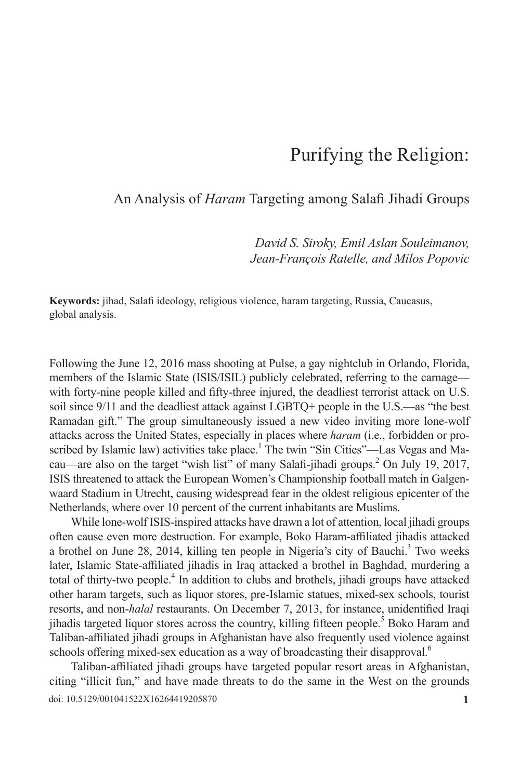# Purifying the Religion:

### An Analysis of *Haram* Targeting among Salafi Jihadi Groups

*David S. Siroky, Emil Aslan Souleimanov, Jean-François Ratelle, and Milos Popovic*

**Keywords:** jihad, Salafi ideology, religious violence, haram targeting, Russia, Caucasus, global analysis.

Following the June 12, 2016 mass shooting at Pulse, a gay nightclub in Orlando, Florida, members of the Islamic State (ISIS/ISIL) publicly celebrated, referring to the carnage with forty-nine people killed and fifty-three injured, the deadliest terrorist attack on U.S. soil since 9/11 and the deadliest attack against LGBTQ+ people in the U.S.—as "the best Ramadan gift." The group simultaneously issued a new video inviting more lone-wolf attacks across the United States, especially in places where *haram* (i.e., forbidden or proscribed by Islamic law) activities take place.<sup>1</sup> The twin "Sin Cities"—Las Vegas and Macau—are also on the target "wish list" of many Salafi-jihadi groups.<sup>2</sup> On July 19, 2017, ISIS threatened to attack the European Women's Championship football match in Galgenwaard Stadium in Utrecht, causing widespread fear in the oldest religious epicenter of the Netherlands, where over 10 percent of the current inhabitants are Muslims.

While lone-wolf ISIS-inspired attacks have drawn a lot of attention, local jihadi groups often cause even more destruction. For example, Boko Haram-affiliated jihadis attacked a brothel on June 28, 2014, killing ten people in Nigeria's city of Bauchi.<sup>3</sup> Two weeks later, Islamic State-affiliated jihadis in Iraq attacked a brothel in Baghdad, murdering a total of thirty-two people.<sup>4</sup> In addition to clubs and brothels, jihadi groups have attacked other haram targets, such as liquor stores, pre-Islamic statues, mixed-sex schools, tourist resorts, and non-*halal* restaurants. On December 7, 2013, for instance, unidentified Iraqi jihadis targeted liquor stores across the country, killing fifteen people.<sup>5</sup> Boko Haram and Taliban-affiliated jihadi groups in Afghanistan have also frequently used violence against schools offering mixed-sex education as a way of broadcasting their disapproval.<sup>6</sup>

doi: 10.5129/001041522X16264419205870 **1** Taliban-affiliated jihadi groups have targeted popular resort areas in Afghanistan, citing "illicit fun," and have made threats to do the same in the West on the grounds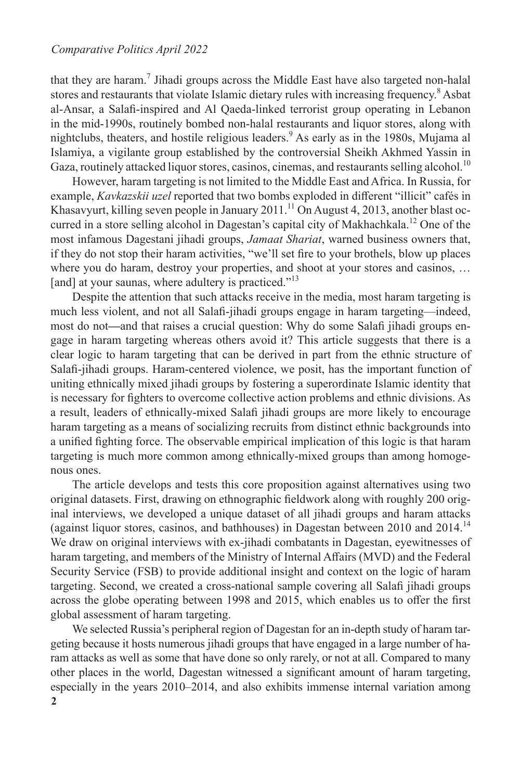that they are haram.<sup>7</sup> Jihadi groups across the Middle East have also targeted non-halal stores and restaurants that violate Islamic dietary rules with increasing frequency.<sup>8</sup> Asbat al-Ansar, a Salafi-inspired and Al Qaeda-linked terrorist group operating in Lebanon in the mid-1990s, routinely bombed non-halal restaurants and liquor stores, along with nightclubs, theaters, and hostile religious leaders.<sup>9</sup> As early as in the 1980s, Mujama al Islamiya, a vigilante group established by the controversial Sheikh Akhmed Yassin in Gaza, routinely attacked liquor stores, casinos, cinemas, and restaurants selling alcohol.<sup>10</sup>

However, haram targeting is not limited to the Middle East and Africa. In Russia, for example, *Kavkazskii uzel* reported that two bombs exploded in different "illicit" cafés in Khasavyurt, killing seven people in January 2011.<sup>11</sup> On August 4, 2013, another blast occurred in a store selling alcohol in Dagestan's capital city of Makhachkala.<sup>12</sup> One of the most infamous Dagestani jihadi groups, *Jamaat Shariat*, warned business owners that, if they do not stop their haram activities, "we'll set fire to your brothels, blow up places where you do haram, destroy your properties, and shoot at your stores and casinos, … [and] at your saunas, where adultery is practiced."<sup>13</sup>

Despite the attention that such attacks receive in the media, most haram targeting is much less violent, and not all Salafi-jihadi groups engage in haram targeting—indeed, most do not**—**and that raises a crucial question: Why do some Salafi jihadi groups engage in haram targeting whereas others avoid it? This article suggests that there is a clear logic to haram targeting that can be derived in part from the ethnic structure of Salafi-jihadi groups. Haram-centered violence, we posit, has the important function of uniting ethnically mixed jihadi groups by fostering a superordinate Islamic identity that is necessary for fighters to overcome collective action problems and ethnic divisions. As a result, leaders of ethnically-mixed Salafi jihadi groups are more likely to encourage haram targeting as a means of socializing recruits from distinct ethnic backgrounds into a unified fighting force. The observable empirical implication of this logic is that haram targeting is much more common among ethnically-mixed groups than among homogenous ones.

The article develops and tests this core proposition against alternatives using two original datasets. First, drawing on ethnographic fieldwork along with roughly 200 original interviews, we developed a unique dataset of all jihadi groups and haram attacks (against liquor stores, casinos, and bathhouses) in Dagestan between 2010 and 2014.14 We draw on original interviews with ex-jihadi combatants in Dagestan, eyewitnesses of haram targeting, and members of the Ministry of Internal Affairs (MVD) and the Federal Security Service (FSB) to provide additional insight and context on the logic of haram targeting. Second, we created a cross-national sample covering all Salafi jihadi groups across the globe operating between 1998 and 2015, which enables us to offer the first global assessment of haram targeting.

**2** We selected Russia's peripheral region of Dagestan for an in-depth study of haram targeting because it hosts numerous jihadi groups that have engaged in a large number of haram attacks as well as some that have done so only rarely, or not at all. Compared to many other places in the world, Dagestan witnessed a significant amount of haram targeting, especially in the years 2010–2014, and also exhibits immense internal variation among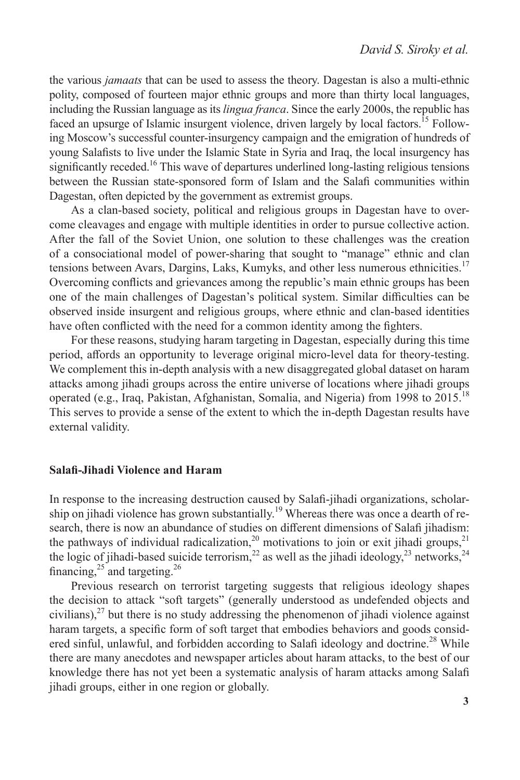the various *jamaats* that can be used to assess the theory. Dagestan is also a multi-ethnic polity, composed of fourteen major ethnic groups and more than thirty local languages, including the Russian language as its *lingua franca*. Since the early 2000s, the republic has faced an upsurge of Islamic insurgent violence, driven largely by local factors.<sup>15</sup> Following Moscow's successful counter-insurgency campaign and the emigration of hundreds of young Salafists to live under the Islamic State in Syria and Iraq, the local insurgency has significantly receded.<sup>16</sup> This wave of departures underlined long-lasting religious tensions between the Russian state-sponsored form of Islam and the Salafi communities within Dagestan, often depicted by the government as extremist groups.

As a clan-based society, political and religious groups in Dagestan have to overcome cleavages and engage with multiple identities in order to pursue collective action. After the fall of the Soviet Union, one solution to these challenges was the creation of a consociational model of power-sharing that sought to "manage" ethnic and clan tensions between Avars, Dargins, Laks, Kumyks, and other less numerous ethnicities.<sup>17</sup> Overcoming conflicts and grievances among the republic's main ethnic groups has been one of the main challenges of Dagestan's political system. Similar difficulties can be observed inside insurgent and religious groups, where ethnic and clan-based identities have often conflicted with the need for a common identity among the fighters.

For these reasons, studying haram targeting in Dagestan, especially during this time period, affords an opportunity to leverage original micro-level data for theory-testing. We complement this in-depth analysis with a new disaggregated global dataset on haram attacks among jihadi groups across the entire universe of locations where jihadi groups operated (e.g., Iraq, Pakistan, Afghanistan, Somalia, and Nigeria) from 1998 to 2015.18 This serves to provide a sense of the extent to which the in-depth Dagestan results have external validity.

#### **Salafi-Jihadi Violence and Haram**

In response to the increasing destruction caused by Salafi-jihadi organizations, scholarship on jihadi violence has grown substantially.<sup>19</sup> Whereas there was once a dearth of research, there is now an abundance of studies on different dimensions of Salafi jihadism: the pathways of individual radicalization,<sup>20</sup> motivations to join or exit jihadi groups,<sup>21</sup> the logic of jihadi-based suicide terrorism,<sup>22</sup> as well as the jihadi ideology,<sup>23</sup> networks,<sup>24</sup> financing,  $25$  and targeting.  $26$ 

Previous research on terrorist targeting suggests that religious ideology shapes the decision to attack "soft targets" (generally understood as undefended objects and civilians), $^{27}$  but there is no study addressing the phenomenon of jihadi violence against haram targets, a specific form of soft target that embodies behaviors and goods considered sinful, unlawful, and forbidden according to Salafi ideology and doctrine.<sup>28</sup> While there are many anecdotes and newspaper articles about haram attacks, to the best of our knowledge there has not yet been a systematic analysis of haram attacks among Salafi jihadi groups, either in one region or globally.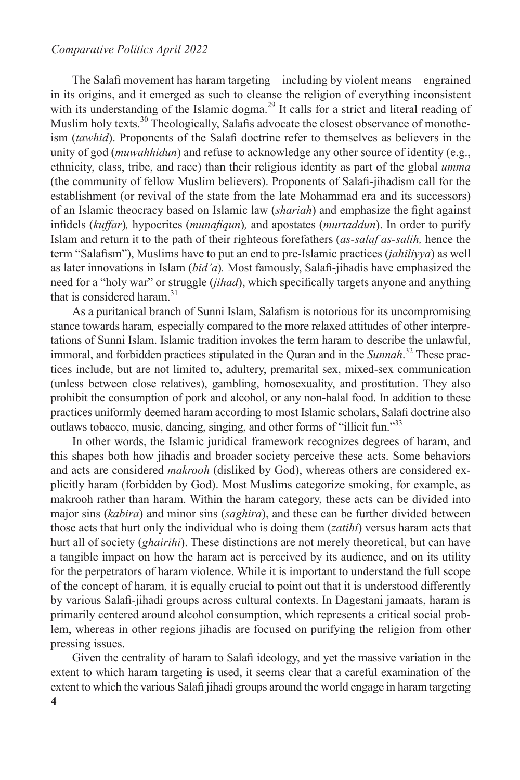The Salafi movement has haram targeting—including by violent means—engrained in its origins, and it emerged as such to cleanse the religion of everything inconsistent with its understanding of the Islamic dogma.<sup>29</sup> It calls for a strict and literal reading of Muslim holy texts.<sup>30</sup> Theologically, Salafis advocate the closest observance of monotheism (*tawhid*). Proponents of the Salafi doctrine refer to themselves as believers in the unity of god (*muwahhidun*) and refuse to acknowledge any other source of identity (e.g., ethnicity, class, tribe, and race) than their religious identity as part of the global *umma*  (the community of fellow Muslim believers). Proponents of Salafi-jihadism call for the establishment (or revival of the state from the late Mohammad era and its successors) of an Islamic theocracy based on Islamic law (*shariah*) and emphasize the fight against infidels (*kuffar*)*,* hypocrites (*munafiqun*)*,* and apostates (*murtaddun*). In order to purify Islam and return it to the path of their righteous forefathers (*as-salaf as-salih,* hence the term "Salafism"), Muslims have to put an end to pre-Islamic practices (*jahiliyya*) as well as later innovations in Islam (*bid'a*)*.* Most famously, Salafi-jihadis have emphasized the need for a "holy war" or struggle (*jihad*), which specifically targets anyone and anything that is considered haram. $31$ 

As a puritanical branch of Sunni Islam, Salafism is notorious for its uncompromising stance towards haram*,* especially compared to the more relaxed attitudes of other interpretations of Sunni Islam. Islamic tradition invokes the term haram to describe the unlawful, immoral, and forbidden practices stipulated in the Quran and in the *Sunnah*. 32 These practices include, but are not limited to, adultery, premarital sex, mixed-sex communication (unless between close relatives), gambling, homosexuality, and prostitution. They also prohibit the consumption of pork and alcohol, or any non-halal food. In addition to these practices uniformly deemed haram according to most Islamic scholars, Salafi doctrine also outlaws tobacco, music, dancing, singing, and other forms of "illicit fun."<sup>33</sup>

In other words, the Islamic juridical framework recognizes degrees of haram, and this shapes both how jihadis and broader society perceive these acts. Some behaviors and acts are considered *makrooh* (disliked by God), whereas others are considered explicitly haram (forbidden by God). Most Muslims categorize smoking, for example, as makrooh rather than haram. Within the haram category, these acts can be divided into major sins (*kabira*) and minor sins (*saghira*), and these can be further divided between those acts that hurt only the individual who is doing them (*zatihi*) versus haram acts that hurt all of society (*ghairihi*). These distinctions are not merely theoretical, but can have a tangible impact on how the haram act is perceived by its audience, and on its utility for the perpetrators of haram violence. While it is important to understand the full scope of the concept of haram*,* it is equally crucial to point out that it is understood differently by various Salafi-jihadi groups across cultural contexts. In Dagestani jamaats, haram is primarily centered around alcohol consumption, which represents a critical social problem, whereas in other regions jihadis are focused on purifying the religion from other pressing issues.

Given the centrality of haram to Salafi ideology, and yet the massive variation in the extent to which haram targeting is used, it seems clear that a careful examination of the extent to which the various Salafi jihadi groups around the world engage in haram targeting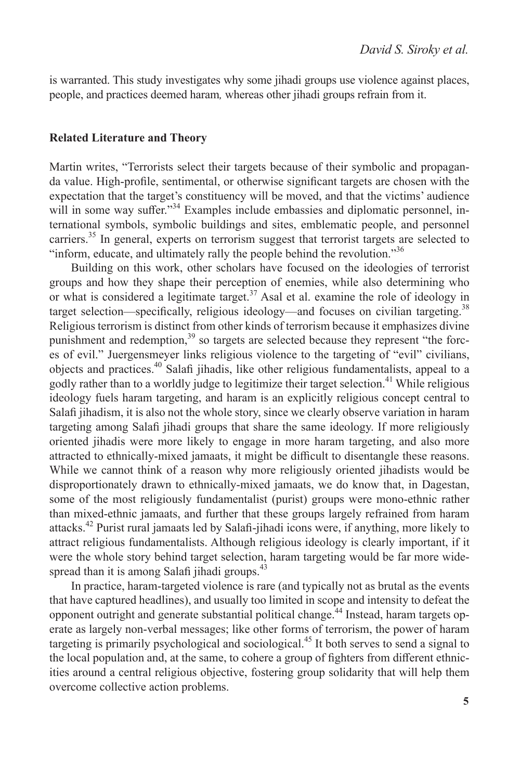is warranted. This study investigates why some jihadi groups use violence against places, people, and practices deemed haram*,* whereas other jihadi groups refrain from it.

#### **Related Literature and Theory**

Martin writes, "Terrorists select their targets because of their symbolic and propaganda value. High-profile, sentimental, or otherwise significant targets are chosen with the expectation that the target's constituency will be moved, and that the victims' audience will in some way suffer."<sup>34</sup> Examples include embassies and diplomatic personnel, international symbols, symbolic buildings and sites, emblematic people, and personnel carriers.<sup>35</sup> In general, experts on terrorism suggest that terrorist targets are selected to "inform, educate, and ultimately rally the people behind the revolution."<sup>36</sup>

Building on this work, other scholars have focused on the ideologies of terrorist groups and how they shape their perception of enemies, while also determining who or what is considered a legitimate target.<sup>37</sup> Asal et al. examine the role of ideology in target selection—specifically, religious ideology—and focuses on civilian targeting.<sup>38</sup> Religious terrorism is distinct from other kinds of terrorism because it emphasizes divine punishment and redemption, $39$  so targets are selected because they represent "the forces of evil." Juergensmeyer links religious violence to the targeting of "evil" civilians, objects and practices.40 Salafi jihadis, like other religious fundamentalists, appeal to a godly rather than to a worldly judge to legitimize their target selection.<sup>41</sup> While religious ideology fuels haram targeting, and haram is an explicitly religious concept central to Salafi jihadism, it is also not the whole story, since we clearly observe variation in haram targeting among Salafi jihadi groups that share the same ideology. If more religiously oriented jihadis were more likely to engage in more haram targeting, and also more attracted to ethnically-mixed jamaats, it might be difficult to disentangle these reasons. While we cannot think of a reason why more religiously oriented jihadists would be disproportionately drawn to ethnically-mixed jamaats, we do know that, in Dagestan, some of the most religiously fundamentalist (purist) groups were mono-ethnic rather than mixed-ethnic jamaats, and further that these groups largely refrained from haram attacks.42 Purist rural jamaats led by Salafi-jihadi icons were, if anything, more likely to attract religious fundamentalists. Although religious ideology is clearly important, if it were the whole story behind target selection, haram targeting would be far more widespread than it is among Salafi jihadi groups. $43$ 

In practice, haram-targeted violence is rare (and typically not as brutal as the events that have captured headlines), and usually too limited in scope and intensity to defeat the opponent outright and generate substantial political change.44 Instead, haram targets operate as largely non-verbal messages; like other forms of terrorism, the power of haram targeting is primarily psychological and sociological.45 It both serves to send a signal to the local population and, at the same, to cohere a group of fighters from different ethnicities around a central religious objective, fostering group solidarity that will help them overcome collective action problems.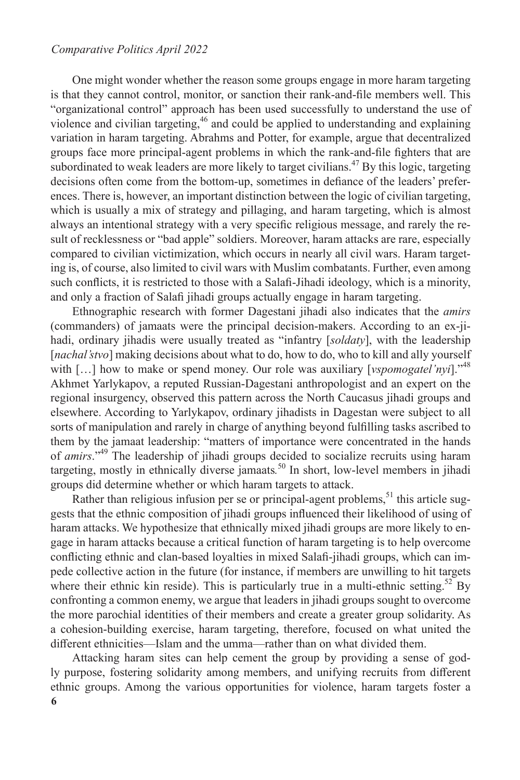One might wonder whether the reason some groups engage in more haram targeting is that they cannot control, monitor, or sanction their rank-and-file members well. This "organizational control" approach has been used successfully to understand the use of violence and civilian targeting,<sup>46</sup> and could be applied to understanding and explaining variation in haram targeting. Abrahms and Potter, for example, argue that decentralized groups face more principal-agent problems in which the rank-and-file fighters that are subordinated to weak leaders are more likely to target civilians.<sup>47</sup> By this logic, targeting decisions often come from the bottom-up, sometimes in defiance of the leaders' preferences. There is, however, an important distinction between the logic of civilian targeting, which is usually a mix of strategy and pillaging, and haram targeting, which is almost always an intentional strategy with a very specific religious message, and rarely the result of recklessness or "bad apple" soldiers. Moreover, haram attacks are rare, especially compared to civilian victimization, which occurs in nearly all civil wars. Haram targeting is, of course, also limited to civil wars with Muslim combatants. Further, even among such conflicts, it is restricted to those with a Salafi-Jihadi ideology, which is a minority, and only a fraction of Salafi jihadi groups actually engage in haram targeting.

Ethnographic research with former Dagestani jihadi also indicates that the *amirs* (commanders) of jamaats were the principal decision-makers. According to an ex-jihadi, ordinary jihadis were usually treated as "infantry [*soldaty*], with the leadership [*nachal'stvo*] making decisions about what to do, how to do, who to kill and ally yourself with [...] how to make or spend money. Our role was auxiliary [*vspomogatel'nyi*]."<sup>48</sup> Akhmet Yarlykapov, a reputed Russian-Dagestani anthropologist and an expert on the regional insurgency, observed this pattern across the North Caucasus jihadi groups and elsewhere. According to Yarlykapov, ordinary jihadists in Dagestan were subject to all sorts of manipulation and rarely in charge of anything beyond fulfilling tasks ascribed to them by the jamaat leadership: "matters of importance were concentrated in the hands of *amirs*."49 The leadership of jihadi groups decided to socialize recruits using haram targeting, mostly in ethnically diverse jamaats*.* 50 In short, low-level members in jihadi groups did determine whether or which haram targets to attack.

Rather than religious infusion per se or principal-agent problems,<sup>51</sup> this article suggests that the ethnic composition of jihadi groups influenced their likelihood of using of haram attacks. We hypothesize that ethnically mixed jihadi groups are more likely to engage in haram attacks because a critical function of haram targeting is to help overcome conflicting ethnic and clan-based loyalties in mixed Salafi-jihadi groups, which can impede collective action in the future (for instance, if members are unwilling to hit targets where their ethnic kin reside). This is particularly true in a multi-ethnic setting.<sup>52</sup> By confronting a common enemy, we argue that leaders in jihadi groups sought to overcome the more parochial identities of their members and create a greater group solidarity. As a cohesion-building exercise, haram targeting, therefore, focused on what united the different ethnicities—Islam and the umma—rather than on what divided them.

**6** Attacking haram sites can help cement the group by providing a sense of godly purpose, fostering solidarity among members, and unifying recruits from different ethnic groups. Among the various opportunities for violence, haram targets foster a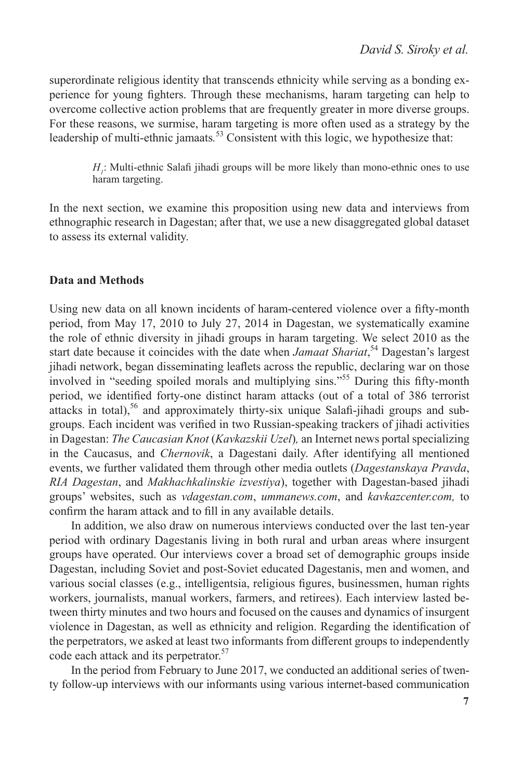superordinate religious identity that transcends ethnicity while serving as a bonding experience for young fighters. Through these mechanisms, haram targeting can help to overcome collective action problems that are frequently greater in more diverse groups. For these reasons, we surmise, haram targeting is more often used as a strategy by the leadership of multi-ethnic jamaats*.* <sup>53</sup> Consistent with this logic, we hypothesize that:

> *H<sub>1</sub>*: Multi-ethnic Salafi jihadi groups will be more likely than mono-ethnic ones to use haram targeting.

In the next section, we examine this proposition using new data and interviews from ethnographic research in Dagestan; after that, we use a new disaggregated global dataset to assess its external validity.

#### **Data and Methods**

Using new data on all known incidents of haram-centered violence over a fifty-month period, from May 17, 2010 to July 27, 2014 in Dagestan, we systematically examine the role of ethnic diversity in jihadi groups in haram targeting. We select 2010 as the start date because it coincides with the date when *Jamaat Shariat*, 54 Dagestan's largest jihadi network, began disseminating leaflets across the republic, declaring war on those involved in "seeding spoiled morals and multiplying sins."<sup>55</sup> During this fifty-month period, we identified forty-one distinct haram attacks (out of a total of 386 terrorist attacks in total),<sup>56</sup> and approximately thirty-six unique Salafi-jihadi groups and subgroups. Each incident was verified in two Russian-speaking trackers of jihadi activities in Dagestan: *The Caucasian Knot* (*Kavkazskii Uzel*)*,* an Internet news portal specializing in the Caucasus, and *Chernovik*, a Dagestani daily. After identifying all mentioned events, we further validated them through other media outlets (*Dagestanskaya Pravda*, *RIA Dagestan*, and *Makhachkalinskie izvestiya*), together with Dagestan-based jihadi groups' websites, such as *vdagestan.com*, *ummanews.com*, and *kavkazcenter.com,* to confirm the haram attack and to fill in any available details.

In addition, we also draw on numerous interviews conducted over the last ten-year period with ordinary Dagestanis living in both rural and urban areas where insurgent groups have operated. Our interviews cover a broad set of demographic groups inside Dagestan, including Soviet and post-Soviet educated Dagestanis, men and women, and various social classes (e.g., intelligentsia, religious figures, businessmen, human rights workers, journalists, manual workers, farmers, and retirees). Each interview lasted between thirty minutes and two hours and focused on the causes and dynamics of insurgent violence in Dagestan, as well as ethnicity and religion. Regarding the identification of the perpetrators, we asked at least two informants from different groups to independently code each attack and its perpetrator.<sup>57</sup>

In the period from February to June 2017, we conducted an additional series of twenty follow-up interviews with our informants using various internet-based communication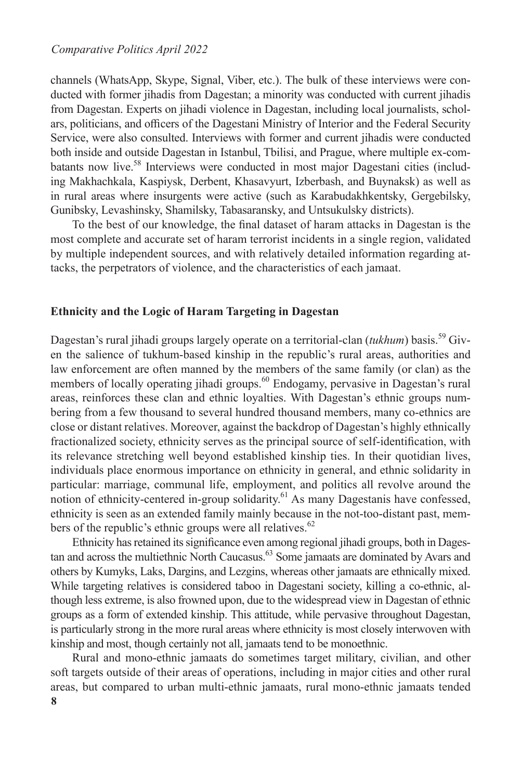channels (WhatsApp, Skype, Signal, Viber, etc.). The bulk of these interviews were conducted with former jihadis from Dagestan; a minority was conducted with current jihadis from Dagestan. Experts on jihadi violence in Dagestan, including local journalists, scholars, politicians, and officers of the Dagestani Ministry of Interior and the Federal Security Service, were also consulted. Interviews with former and current jihadis were conducted both inside and outside Dagestan in Istanbul, Tbilisi, and Prague, where multiple ex-combatants now live.<sup>58</sup> Interviews were conducted in most major Dagestani cities (including Makhachkala, Kaspiysk, Derbent, Khasavyurt, Izberbash, and Buynaksk) as well as in rural areas where insurgents were active (such as Karabudakhkentsky, Gergebilsky, Gunibsky, Levashinsky, Shamilsky, Tabasaransky, and Untsukulsky districts).

To the best of our knowledge, the final dataset of haram attacks in Dagestan is the most complete and accurate set of haram terrorist incidents in a single region, validated by multiple independent sources, and with relatively detailed information regarding attacks, the perpetrators of violence, and the characteristics of each jamaat.

#### **Ethnicity and the Logic of Haram Targeting in Dagestan**

Dagestan's rural jihadi groups largely operate on a territorial-clan (tukhum) basis.<sup>59</sup> Given the salience of tukhum-based kinship in the republic's rural areas, authorities and law enforcement are often manned by the members of the same family (or clan) as the members of locally operating jihadi groups.<sup>60</sup> Endogamy, pervasive in Dagestan's rural areas, reinforces these clan and ethnic loyalties. With Dagestan's ethnic groups numbering from a few thousand to several hundred thousand members, many co-ethnics are close or distant relatives. Moreover, against the backdrop of Dagestan's highly ethnically fractionalized society, ethnicity serves as the principal source of self-identification, with its relevance stretching well beyond established kinship ties. In their quotidian lives, individuals place enormous importance on ethnicity in general, and ethnic solidarity in particular: marriage, communal life, employment, and politics all revolve around the notion of ethnicity-centered in-group solidarity.<sup>61</sup> As many Dagestanis have confessed, ethnicity is seen as an extended family mainly because in the not-too-distant past, members of the republic's ethnic groups were all relatives.<sup>62</sup>

Ethnicity has retained its significance even among regional jihadi groups, both in Dagestan and across the multiethnic North Caucasus.<sup>63</sup> Some jamaats are dominated by Avars and others by Kumyks, Laks, Dargins, and Lezgins, whereas other jamaats are ethnically mixed. While targeting relatives is considered taboo in Dagestani society, killing a co-ethnic, although less extreme, is also frowned upon, due to the widespread view in Dagestan of ethnic groups as a form of extended kinship. This attitude, while pervasive throughout Dagestan, is particularly strong in the more rural areas where ethnicity is most closely interwoven with kinship and most, though certainly not all, jamaats tend to be monoethnic.

**8** Rural and mono-ethnic jamaats do sometimes target military, civilian, and other soft targets outside of their areas of operations, including in major cities and other rural areas, but compared to urban multi-ethnic jamaats, rural mono-ethnic jamaats tended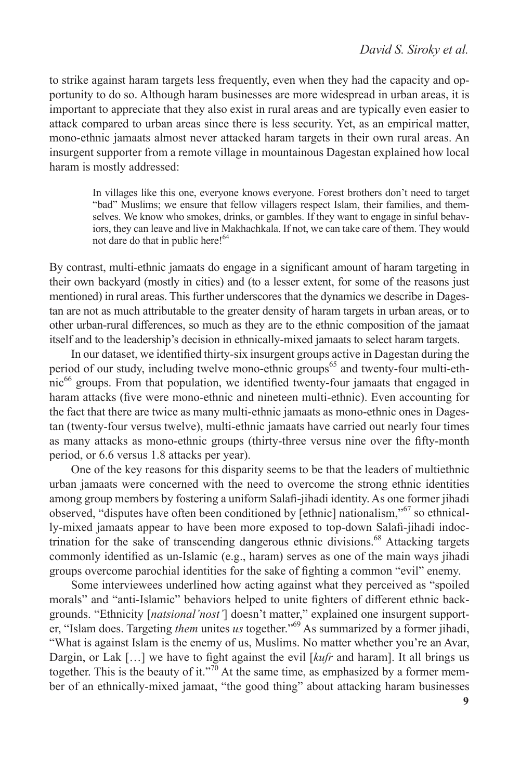to strike against haram targets less frequently, even when they had the capacity and opportunity to do so. Although haram businesses are more widespread in urban areas, it is important to appreciate that they also exist in rural areas and are typically even easier to attack compared to urban areas since there is less security. Yet, as an empirical matter, mono-ethnic jamaats almost never attacked haram targets in their own rural areas. An insurgent supporter from a remote village in mountainous Dagestan explained how local haram is mostly addressed:

> In villages like this one, everyone knows everyone. Forest brothers don't need to target "bad" Muslims; we ensure that fellow villagers respect Islam, their families, and themselves. We know who smokes, drinks, or gambles. If they want to engage in sinful behaviors, they can leave and live in Makhachkala. If not, we can take care of them. They would not dare do that in public here!<sup>64</sup>

By contrast, multi-ethnic jamaats do engage in a significant amount of haram targeting in their own backyard (mostly in cities) and (to a lesser extent, for some of the reasons just mentioned) in rural areas. This further underscores that the dynamics we describe in Dagestan are not as much attributable to the greater density of haram targets in urban areas, or to other urban-rural differences, so much as they are to the ethnic composition of the jamaat itself and to the leadership's decision in ethnically-mixed jamaats to select haram targets.

In our dataset, we identified thirty-six insurgent groups active in Dagestan during the period of our study, including twelve mono-ethnic groups<sup>65</sup> and twenty-four multi-ethnic<sup>66</sup> groups. From that population, we identified twenty-four jamaats that engaged in haram attacks (five were mono-ethnic and nineteen multi-ethnic). Even accounting for the fact that there are twice as many multi-ethnic jamaats as mono-ethnic ones in Dagestan (twenty-four versus twelve), multi-ethnic jamaats have carried out nearly four times as many attacks as mono-ethnic groups (thirty-three versus nine over the fifty-month period, or 6.6 versus 1.8 attacks per year).

One of the key reasons for this disparity seems to be that the leaders of multiethnic urban jamaats were concerned with the need to overcome the strong ethnic identities among group members by fostering a uniform Salafi-jihadi identity. As one former jihadi observed, "disputes have often been conditioned by [ethnic] nationalism,"67 so ethnically-mixed jamaats appear to have been more exposed to top-down Salafi-jihadi indoctrination for the sake of transcending dangerous ethnic divisions.<sup>68</sup> Attacking targets commonly identified as un-Islamic (e.g., haram) serves as one of the main ways jihadi groups overcome parochial identities for the sake of fighting a common "evil" enemy.

Some interviewees underlined how acting against what they perceived as "spoiled morals" and "anti-Islamic" behaviors helped to unite fighters of different ethnic backgrounds. "Ethnicity [*natsional'nost'*] doesn't matter," explained one insurgent supporter, "Islam does. Targeting *them* unites *us* together."69 As summarized by a former jihadi, "What is against Islam is the enemy of us, Muslims. No matter whether you're an Avar, Dargin, or Lak […] we have to fight against the evil [*kufr* and haram]. It all brings us together. This is the beauty of it."<sup>70</sup> At the same time, as emphasized by a former member of an ethnically-mixed jamaat, "the good thing" about attacking haram businesses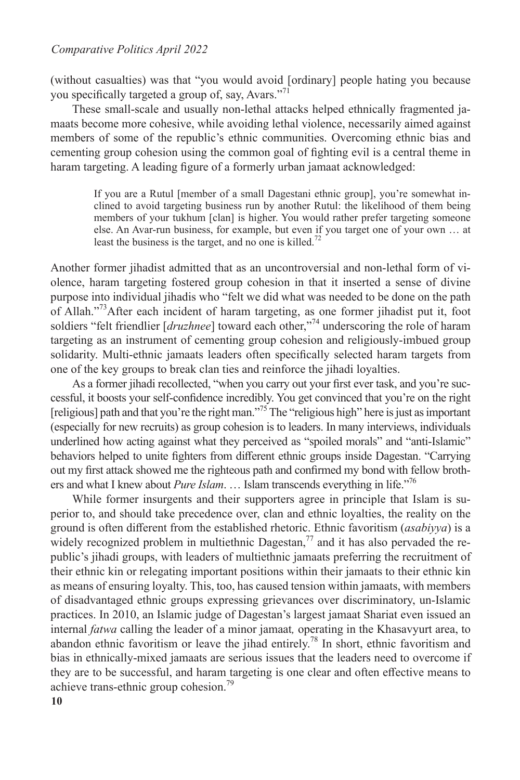(without casualties) was that "you would avoid [ordinary] people hating you because you specifically targeted a group of, say, Avars."<sup>71</sup>

These small-scale and usually non-lethal attacks helped ethnically fragmented jamaats become more cohesive, while avoiding lethal violence, necessarily aimed against members of some of the republic's ethnic communities. Overcoming ethnic bias and cementing group cohesion using the common goal of fighting evil is a central theme in haram targeting. A leading figure of a formerly urban jamaat acknowledged:

> If you are a Rutul [member of a small Dagestani ethnic group], you're somewhat inclined to avoid targeting business run by another Rutul: the likelihood of them being members of your tukhum [clan] is higher. You would rather prefer targeting someone else. An Avar-run business, for example, but even if you target one of your own … at least the business is the target, and no one is killed.<sup>72</sup>

Another former jihadist admitted that as an uncontroversial and non-lethal form of violence, haram targeting fostered group cohesion in that it inserted a sense of divine purpose into individual jihadis who "felt we did what was needed to be done on the path of Allah."73After each incident of haram targeting, as one former jihadist put it, foot soldiers "felt friendlier [*druzhnee*] toward each other,"74 underscoring the role of haram targeting as an instrument of cementing group cohesion and religiously-imbued group solidarity. Multi-ethnic jamaats leaders often specifically selected haram targets from one of the key groups to break clan ties and reinforce the jihadi loyalties.

As a former jihadi recollected, "when you carry out your first ever task, and you're successful, it boosts your self-confidence incredibly. You get convinced that you're on the right [religious] path and that you're the right man."<sup>75</sup> The "religious high" here is just as important (especially for new recruits) as group cohesion is to leaders. In many interviews, individuals underlined how acting against what they perceived as "spoiled morals" and "anti-Islamic" behaviors helped to unite fighters from different ethnic groups inside Dagestan. "Carrying out my first attack showed me the righteous path and confirmed my bond with fellow brothers and what I knew about *Pure Islam*. … Islam transcends everything in life."76

While former insurgents and their supporters agree in principle that Islam is superior to, and should take precedence over, clan and ethnic loyalties, the reality on the ground is often different from the established rhetoric. Ethnic favoritism (*asabiyya*) is a widely recognized problem in multiethnic Dagestan, $^{77}$  and it has also pervaded the republic's jihadi groups, with leaders of multiethnic jamaats preferring the recruitment of their ethnic kin or relegating important positions within their jamaats to their ethnic kin as means of ensuring loyalty. This, too, has caused tension within jamaats, with members of disadvantaged ethnic groups expressing grievances over discriminatory, un-Islamic practices. In 2010, an Islamic judge of Dagestan's largest jamaat Shariat even issued an internal *fatwa* calling the leader of a minor jamaat*,* operating in the Khasavyurt area, to abandon ethnic favoritism or leave the jihad entirely.<sup>78</sup> In short, ethnic favoritism and bias in ethnically-mixed jamaats are serious issues that the leaders need to overcome if they are to be successful, and haram targeting is one clear and often effective means to achieve trans-ethnic group cohesion.<sup>79</sup>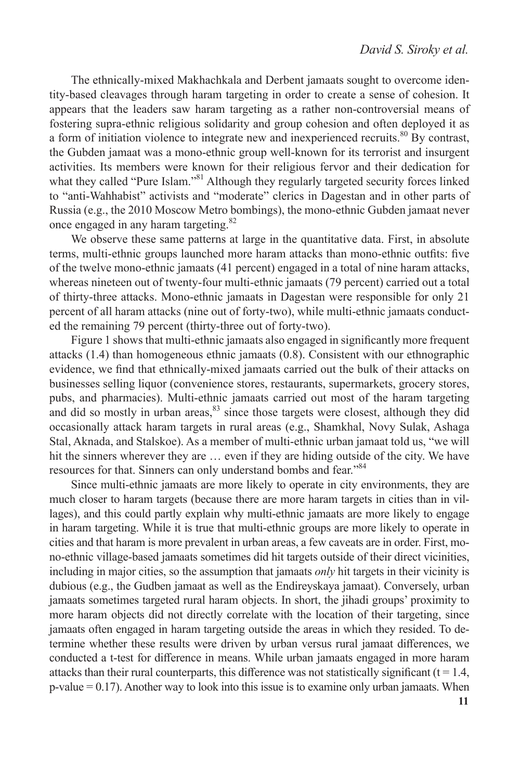The ethnically-mixed Makhachkala and Derbent jamaats sought to overcome identity-based cleavages through haram targeting in order to create a sense of cohesion. It appears that the leaders saw haram targeting as a rather non-controversial means of fostering supra-ethnic religious solidarity and group cohesion and often deployed it as a form of initiation violence to integrate new and inexperienced recruits.<sup>80</sup> By contrast, the Gubden jamaat was a mono-ethnic group well-known for its terrorist and insurgent activities. Its members were known for their religious fervor and their dedication for what they called "Pure Islam."<sup>81</sup> Although they regularly targeted security forces linked to "anti-Wahhabist" activists and "moderate" clerics in Dagestan and in other parts of Russia (e.g., the 2010 Moscow Metro bombings), the mono-ethnic Gubden jamaat never once engaged in any haram targeting.<sup>82</sup>

We observe these same patterns at large in the quantitative data. First, in absolute terms, multi-ethnic groups launched more haram attacks than mono-ethnic outfits: five of the twelve mono-ethnic jamaats (41 percent) engaged in a total of nine haram attacks, whereas nineteen out of twenty-four multi-ethnic jamaats (79 percent) carried out a total of thirty-three attacks. Mono-ethnic jamaats in Dagestan were responsible for only 21 percent of all haram attacks (nine out of forty-two), while multi-ethnic jamaats conducted the remaining 79 percent (thirty-three out of forty-two).

Figure 1 shows that multi-ethnic jamaats also engaged in significantly more frequent attacks (1.4) than homogeneous ethnic jamaats (0.8). Consistent with our ethnographic evidence, we find that ethnically-mixed jamaats carried out the bulk of their attacks on businesses selling liquor (convenience stores, restaurants, supermarkets, grocery stores, pubs, and pharmacies). Multi-ethnic jamaats carried out most of the haram targeting and did so mostly in urban areas,  $83$  since those targets were closest, although they did occasionally attack haram targets in rural areas (e.g., Shamkhal, Novy Sulak, Ashaga Stal, Aknada, and Stalskoe). As a member of multi-ethnic urban jamaat told us, "we will hit the sinners wherever they are … even if they are hiding outside of the city. We have resources for that. Sinners can only understand bombs and fear."<sup>84</sup>

Since multi-ethnic jamaats are more likely to operate in city environments, they are much closer to haram targets (because there are more haram targets in cities than in villages), and this could partly explain why multi-ethnic jamaats are more likely to engage in haram targeting. While it is true that multi-ethnic groups are more likely to operate in cities and that haram is more prevalent in urban areas, a few caveats are in order. First, mono-ethnic village-based jamaats sometimes did hit targets outside of their direct vicinities, including in major cities, so the assumption that jamaats *only* hit targets in their vicinity is dubious (e.g., the Gudben jamaat as well as the Endireyskaya jamaat). Conversely, urban jamaats sometimes targeted rural haram objects. In short, the jihadi groups' proximity to more haram objects did not directly correlate with the location of their targeting, since jamaats often engaged in haram targeting outside the areas in which they resided. To determine whether these results were driven by urban versus rural jamaat differences, we conducted a t-test for difference in means. While urban jamaats engaged in more haram attacks than their rural counterparts, this difference was not statistically significant  $(t = 1.4,$ p-value = 0.17). Another way to look into this issue is to examine only urban jamaats. When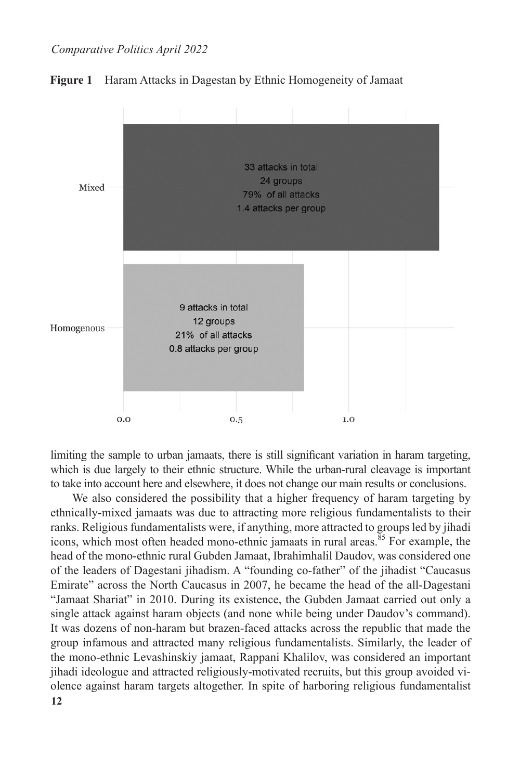

#### **Figure 1** Haram Attacks in Dagestan by Ethnic Homogeneity of Jamaat

limiting the sample to urban jamaats, there is still significant variation in haram targeting, which is due largely to their ethnic structure. While the urban-rural cleavage is important to take into account here and elsewhere, it does not change our main results or conclusions.

**12** We also considered the possibility that a higher frequency of haram targeting by ethnically-mixed jamaats was due to attracting more religious fundamentalists to their ranks. Religious fundamentalists were, if anything, more attracted to groups led by jihadi icons, which most often headed mono-ethnic jamaats in rural areas.<sup>85</sup> For example, the head of the mono-ethnic rural Gubden Jamaat, Ibrahimhalil Daudov, was considered one of the leaders of Dagestani jihadism. A "founding co-father" of the jihadist "Caucasus Emirate" across the North Caucasus in 2007, he became the head of the all-Dagestani "Jamaat Shariat" in 2010. During its existence, the Gubden Jamaat carried out only a single attack against haram objects (and none while being under Daudov's command). It was dozens of non-haram but brazen-faced attacks across the republic that made the group infamous and attracted many religious fundamentalists. Similarly, the leader of the mono-ethnic Levashinskiy jamaat, Rappani Khalilov, was considered an important jihadi ideologue and attracted religiously-motivated recruits, but this group avoided violence against haram targets altogether. In spite of harboring religious fundamentalist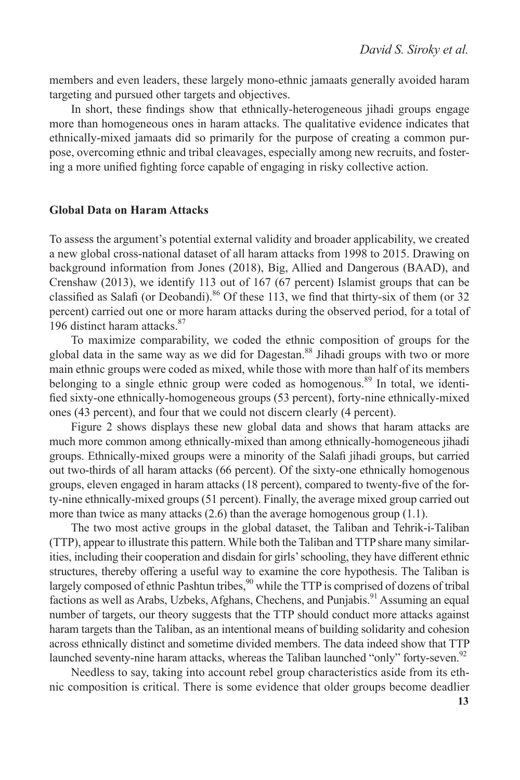members and even leaders, these largely mono-ethnic jamaats generally avoided haram targeting and pursued other targets and objectives.

In short, these findings show that ethnically-heterogeneous jihadi groups engage more than homogeneous ones in haram attacks. The qualitative evidence indicates that ethnically-mixed jamaats did so primarily for the purpose of creating a common purpose, overcoming ethnic and tribal cleavages, especially among new recruits, and fostering a more unified fighting force capable of engaging in risky collective action.

#### **Global Data on Haram Attacks**

To assess the argument's potential external validity and broader applicability, we created a new global cross-national dataset of all haram attacks from 1998 to 2015. Drawing on background information from Jones (2018), Big, Allied and Dangerous (BAAD), and Crenshaw (2013), we identify 113 out of 167 (67 percent) Islamist groups that can be classified as Salafi (or Deobandi).<sup>86</sup> Of these 113, we find that thirty-six of them (or 32 percent) carried out one or more haram attacks during the observed period, for a total of 196 distinct haram attacks.<sup>87</sup>

To maximize comparability, we coded the ethnic composition of groups for the global data in the same way as we did for Dagestan.<sup>88</sup> Jihadi groups with two or more main ethnic groups were coded as mixed, while those with more than half of its members belonging to a single ethnic group were coded as homogenous.<sup>89</sup> In total, we identified sixty-one ethnically-homogeneous groups (53 percent), forty-nine ethnically-mixed ones (43 percent), and four that we could not discern clearly (4 percent).

Figure 2 shows displays these new global data and shows that haram attacks are much more common among ethnically-mixed than among ethnically-homogeneous jihadi groups. Ethnically-mixed groups were a minority of the Salafi jihadi groups, but carried out two-thirds of all haram attacks (66 percent). Of the sixty-one ethnically homogenous groups, eleven engaged in haram attacks (18 percent), compared to twenty-five of the forty-nine ethnically-mixed groups (51 percent). Finally, the average mixed group carried out more than twice as many attacks (2.6) than the average homogenous group (1.1).

The two most active groups in the global dataset, the Taliban and Tehrik-i-Taliban (TTP), appear to illustrate this pattern. While both the Taliban and TTP share many similarities, including their cooperation and disdain for girls' schooling, they have different ethnic structures, thereby offering a useful way to examine the core hypothesis. The Taliban is largely composed of ethnic Pashtun tribes,<sup>90</sup> while the TTP is comprised of dozens of tribal factions as well as Arabs, Uzbeks, Afghans, Chechens, and Punjabis.<sup>91</sup> Assuming an equal number of targets, our theory suggests that the TTP should conduct more attacks against haram targets than the Taliban, as an intentional means of building solidarity and cohesion across ethnically distinct and sometime divided members. The data indeed show that TTP launched seventy-nine haram attacks, whereas the Taliban launched "only" forty-seven.<sup>92</sup>

Needless to say, taking into account rebel group characteristics aside from its ethnic composition is critical. There is some evidence that older groups become deadlier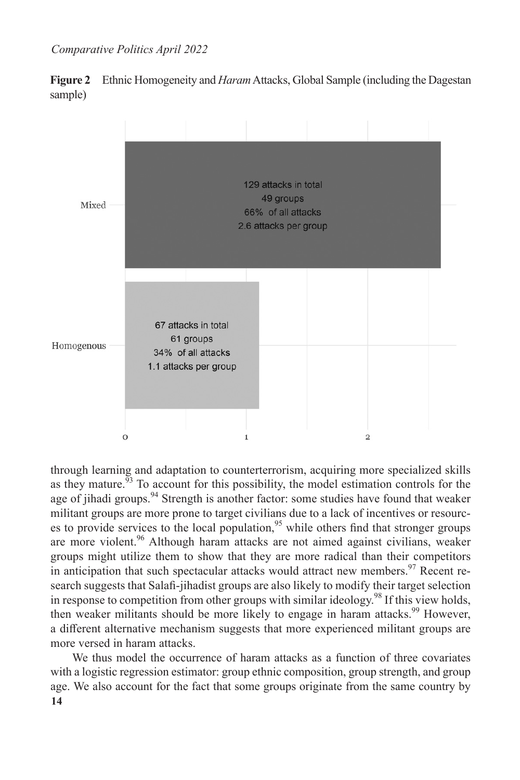**Figure 2** Ethnic Homogeneity and *Haram* Attacks, Global Sample (including the Dagestan sample)



through learning and adaptation to counterterrorism, acquiring more specialized skills as they mature.<sup>93</sup> To account for this possibility, the model estimation controls for the age of jihadi groups.<sup>94</sup> Strength is another factor: some studies have found that weaker militant groups are more prone to target civilians due to a lack of incentives or resources to provide services to the local population,  $95$  while others find that stronger groups are more violent.<sup>96</sup> Although haram attacks are not aimed against civilians, weaker groups might utilize them to show that they are more radical than their competitors in anticipation that such spectacular attacks would attract new members. $97$  Recent research suggests that Salafi-jihadist groups are also likely to modify their target selection in response to competition from other groups with similar ideology.98 If this view holds, then weaker militants should be more likely to engage in haram attacks.<sup>99</sup> However, a different alternative mechanism suggests that more experienced militant groups are more versed in haram attacks.

**14** We thus model the occurrence of haram attacks as a function of three covariates with a logistic regression estimator: group ethnic composition, group strength, and group age. We also account for the fact that some groups originate from the same country by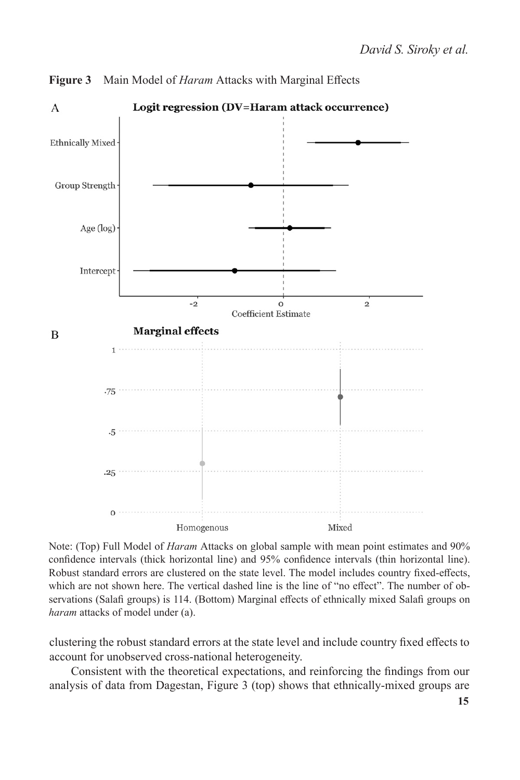

**Figure 3** Main Model of *Haram* Attacks with Marginal Effects

Note: (Top) Full Model of *Haram* Attacks on global sample with mean point estimates and 90% confidence intervals (thick horizontal line) and 95% confidence intervals (thin horizontal line). Robust standard errors are clustered on the state level. The model includes country fixed-effects, which are not shown here. The vertical dashed line is the line of "no effect". The number of observations (Salafi groups) is 114. (Bottom) Marginal effects of ethnically mixed Salafi groups on *haram* attacks of model under (a).

clustering the robust standard errors at the state level and include country fixed effects to account for unobserved cross-national heterogeneity.

Consistent with the theoretical expectations, and reinforcing the findings from our analysis of data from Dagestan, Figure 3 (top) shows that ethnically-mixed groups are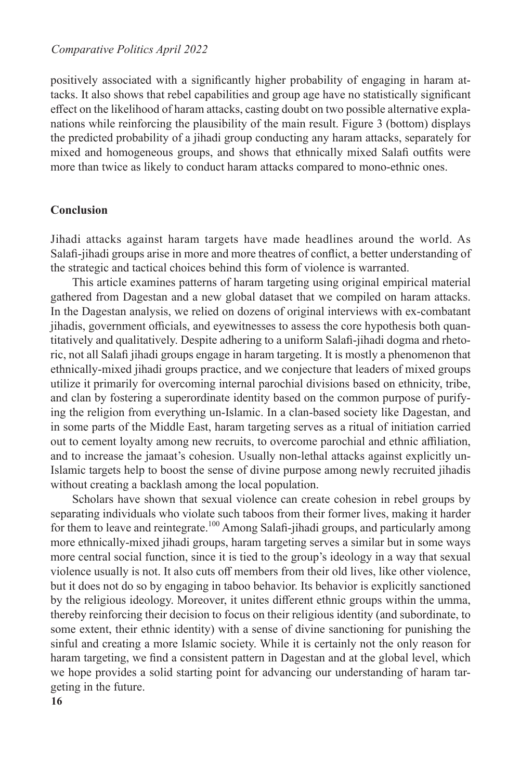positively associated with a significantly higher probability of engaging in haram attacks. It also shows that rebel capabilities and group age have no statistically significant effect on the likelihood of haram attacks, casting doubt on two possible alternative explanations while reinforcing the plausibility of the main result. Figure 3 (bottom) displays the predicted probability of a jihadi group conducting any haram attacks, separately for mixed and homogeneous groups, and shows that ethnically mixed Salafi outfits were more than twice as likely to conduct haram attacks compared to mono-ethnic ones.

#### **Conclusion**

Jihadi attacks against haram targets have made headlines around the world. As Salafi-jihadi groups arise in more and more theatres of conflict, a better understanding of the strategic and tactical choices behind this form of violence is warranted.

This article examines patterns of haram targeting using original empirical material gathered from Dagestan and a new global dataset that we compiled on haram attacks. In the Dagestan analysis, we relied on dozens of original interviews with ex-combatant jihadis, government officials, and eyewitnesses to assess the core hypothesis both quantitatively and qualitatively. Despite adhering to a uniform Salafi-jihadi dogma and rhetoric, not all Salafi jihadi groups engage in haram targeting. It is mostly a phenomenon that ethnically-mixed jihadi groups practice, and we conjecture that leaders of mixed groups utilize it primarily for overcoming internal parochial divisions based on ethnicity, tribe, and clan by fostering a superordinate identity based on the common purpose of purifying the religion from everything un-Islamic. In a clan-based society like Dagestan, and in some parts of the Middle East, haram targeting serves as a ritual of initiation carried out to cement loyalty among new recruits, to overcome parochial and ethnic affiliation, and to increase the jamaat's cohesion. Usually non-lethal attacks against explicitly un-Islamic targets help to boost the sense of divine purpose among newly recruited jihadis without creating a backlash among the local population.

Scholars have shown that sexual violence can create cohesion in rebel groups by separating individuals who violate such taboos from their former lives, making it harder for them to leave and reintegrate.<sup>100</sup> Among Salafi-jihadi groups, and particularly among more ethnically-mixed jihadi groups, haram targeting serves a similar but in some ways more central social function, since it is tied to the group's ideology in a way that sexual violence usually is not. It also cuts off members from their old lives, like other violence, but it does not do so by engaging in taboo behavior. Its behavior is explicitly sanctioned by the religious ideology. Moreover, it unites different ethnic groups within the umma, thereby reinforcing their decision to focus on their religious identity (and subordinate, to some extent, their ethnic identity) with a sense of divine sanctioning for punishing the sinful and creating a more Islamic society. While it is certainly not the only reason for haram targeting, we find a consistent pattern in Dagestan and at the global level, which we hope provides a solid starting point for advancing our understanding of haram targeting in the future.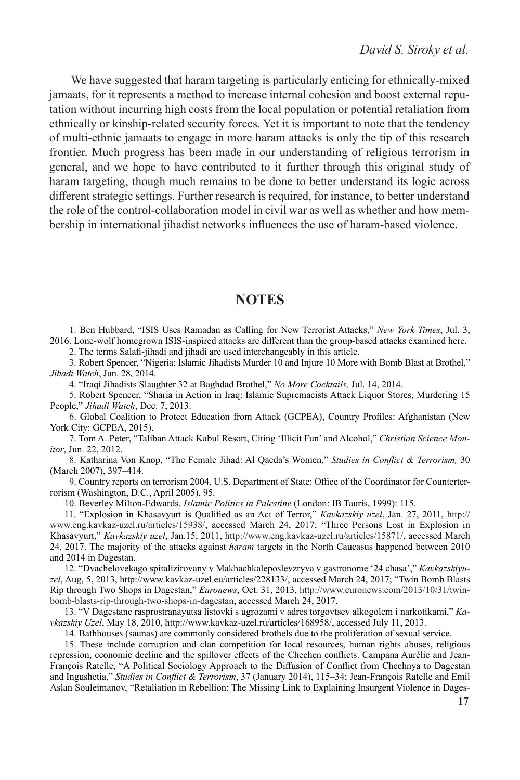We have suggested that haram targeting is particularly enticing for ethnically-mixed jamaats, for it represents a method to increase internal cohesion and boost external reputation without incurring high costs from the local population or potential retaliation from ethnically or kinship-related security forces. Yet it is important to note that the tendency of multi-ethnic jamaats to engage in more haram attacks is only the tip of this research frontier. Much progress has been made in our understanding of religious terrorism in general, and we hope to have contributed to it further through this original study of haram targeting, though much remains to be done to better understand its logic across different strategic settings. Further research is required, for instance, to better understand the role of the control-collaboration model in civil war as well as whether and how membership in international jihadist networks influences the use of haram-based violence.

### **NOTES**

1. Ben Hubbard, "ISIS Uses Ramadan as Calling for New Terrorist Attacks," *New York Times*, Jul. 3, 2016. Lone-wolf homegrown ISIS-inspired attacks are different than the group-based attacks examined here.

2. The terms Salafi-jihadi and jihadi are used interchangeably in this article.

3. Robert Spencer, "Nigeria: Islamic Jihadists Murder 10 and Injure 10 More with Bomb Blast at Brothel," *Jihadi Watch*, Jun. 28, 2014.

4. "Iraqi Jihadists Slaughter 32 at Baghdad Brothel," *No More Cocktails,* Jul. 14, 2014.

5. Robert Spencer, "Sharia in Action in Iraq: Islamic Supremacists Attack Liquor Stores, Murdering 15 People," *Jihadi Watch*, Dec. 7, 2013.

6. Global Coalition to Protect Education from Attack (GCPEA), Country Profiles: Afghanistan (New York City: GCPEA, 2015).

7. Tom A. Peter, "Taliban Attack Kabul Resort, Citing 'Illicit Fun' and Alcohol," *Christian Science Monitor*, Jun. 22, 2012.

8. Katharina Von Knop, "The Female Jihad: Al Qaeda's Women," *Studies in Conflict & Terrorism,* 30 (March 2007), 397–414.

9. Country reports on terrorism 2004, U.S. Department of State: Office of the Coordinator for Counterterrorism (Washington, D.C., April 2005), 95.

10. Beverley Milton-Edwards, *Islamic Politics in Palestine* (London: IB Tauris, 1999): 115.

11. "Explosion in Khasavyurt is Qualified as an Act of Terror," *Kavkazskiy uzel*, Jan. 27, 2011, http:// www.eng.kavkaz-uzel.ru/articles/15938/, accessed March 24, 2017; "Three Persons Lost in Explosion in Khasavyurt," *Kavkazskiy uzel*, Jan.15, 2011, http://www.eng.kavkaz-uzel.ru/articles/15871/, accessed March 24, 2017. The majority of the attacks against *haram* targets in the North Caucasus happened between 2010 and 2014 in Dagestan.

12. "Dvachelovekago spitalizirovany v Makhachkaleposlevzryva v gastronome '24 chasa'," *Kavkazskiyuzel*, Aug, 5, 2013, http://www.kavkaz-uzel.eu/articles/228133/, accessed March 24, 2017; "Twin Bomb Blasts Rip through Two Shops in Dagestan," *Euronews*, Oct. 31, 2013, http://www.euronews.com/2013/10/31/twinbomb-blasts-rip-through-two-shops-in-dagestan, accessed March 24, 2017.

13. "V Dagestane rasprostranayutsa listovki s ugrozami v adres torgovtsev alkogolem i narkotikami," *Kavkazskiy Uzel*, May 18, 2010, http://www.kavkaz-uzel.ru/articles/168958/, accessed July 11, 2013.

14. Bathhouses (saunas) are commonly considered brothels due to the proliferation of sexual service.

15. These include corruption and clan competition for local resources, human rights abuses, religious repression, economic decline and the spillover effects of the Chechen conflicts. Campana Aurélie and Jean-François Ratelle, "A Political Sociology Approach to the Diffusion of Conflict from Chechnya to Dagestan and Ingushetia," *Studies in Conflict & Terrorism*, 37 (January 2014), 115–34; Jean-François Ratelle and Emil Aslan Souleimanov, "Retaliation in Rebellion: The Missing Link to Explaining Insurgent Violence in Dages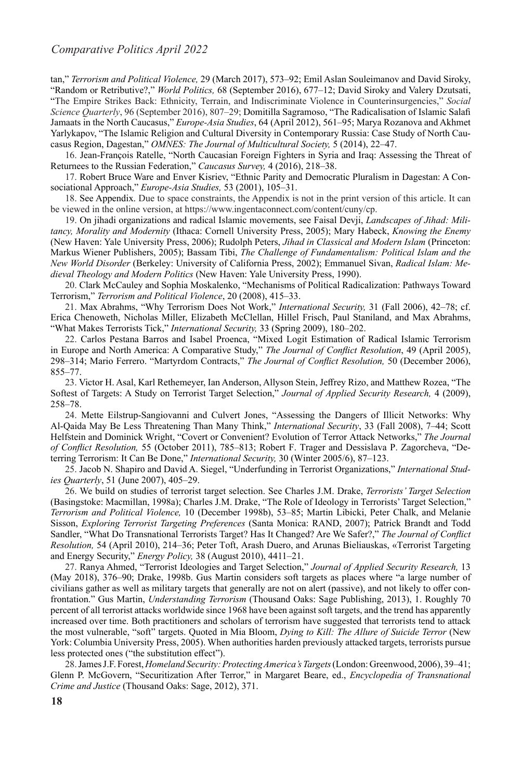tan," *Terrorism and Political Violence,* 29 (March 2017), 573–92; Emil Aslan Souleimanov and David Siroky, "Random or Retributive?," *World Politics,* 68 (September 2016), 677–12; David Siroky and Valery Dzutsati, "The Empire Strikes Back: Ethnicity, Terrain, and Indiscriminate Violence in Counterinsurgencies," *Social Science Quarterly*, 96 (September 2016), 807–29; Domitilla Sagramoso, "The Radicalisation of Islamic Salafi Jamaats in the North Caucasus," *Europe-Asia Studies*, 64 (April 2012), 561–95; Marya Rozanova and Akhmet Yarlykapov, "The Islamic Religion and Cultural Diversity in Contemporary Russia: Case Study of North Caucasus Region, Dagestan," *OMNES: The Journal of Multicultural Society,* 5 (2014), 22–47.

16. Jean-François Ratelle, "North Caucasian Foreign Fighters in Syria and Iraq: Assessing the Threat of Returnees to the Russian Federation," *Caucasus Survey,* 4 (2016), 218–38.

17. Robert Bruce Ware and Enver Kisriev, "Ethnic Parity and Democratic Pluralism in Dagestan: A Consociational Approach," *Europe-Asia Studies,* 53 (2001), 105–31.

18. See Appendix. Due to space constraints, the Appendix is not in the print version of this article. It can be viewed in the online version, at https://www.ingentaconnect.com/content/cuny/cp.

19. On jihadi organizations and radical Islamic movements, see Faisal Devji, *Landscapes of Jihad: Militancy, Morality and Modernity* (Ithaca: Cornell University Press, 2005); Mary Habeck, *Knowing the Enemy* (New Haven: Yale University Press, 2006); Rudolph Peters, *Jihad in Classical and Modern Islam* (Princeton: Markus Wiener Publishers, 2005); Bassam Tibi, *The Challenge of Fundamentalism: Political Islam and the New World Disorder* (Berkeley: University of California Press, 2002); Emmanuel Sivan, *Radical Islam: Medieval Theology and Modern Politics* (New Haven: Yale University Press, 1990).

20. Clark McCauley and Sophia Moskalenko, "Mechanisms of Political Radicalization: Pathways Toward Terrorism," *Terrorism and Political Violence*, 20 (2008), 415–33.

21. Max Abrahms, "Why Terrorism Does Not Work," *International Security,* 31 (Fall 2006), 42–78; cf. Erica Chenoweth, Nicholas Miller, Elizabeth McClellan, Hillel Frisch, Paul Staniland, and Max Abrahms, "What Makes Terrorists Tick," *International Security,* 33 (Spring 2009), 180–202.

22. Carlos Pestana Barros and Isabel Proenca, "Mixed Logit Estimation of Radical Islamic Terrorism in Europe and North America: A Comparative Study," *The Journal of Conflict Resolution*, 49 (April 2005), 298–314; Mario Ferrero. "Martyrdom Contracts," *The Journal of Conflict Resolution,* 50 (December 2006), 855–77.

23. Victor H. Asal, Karl Rethemeyer, Ian Anderson, Allyson Stein, Jeffrey Rizo, and Matthew Rozea, "The Softest of Targets: A Study on Terrorist Target Selection," *Journal of Applied Security Research,* 4 (2009), 258–78.

24. Mette Eilstrup-Sangiovanni and Culvert Jones, "Assessing the Dangers of Illicit Networks: Why Al-Qaida May Be Less Threatening Than Many Think," *International Security*, 33 (Fall 2008), 7–44; Scott Helfstein and Dominick Wright, "Covert or Convenient? Evolution of Terror Attack Networks," *The Journal of Conflict Resolution,* 55 (October 2011), 785–813; Robert F. Trager and Dessislava P. Zagorcheva, "Deterring Terrorism: It Can Be Done," *International Security,* 30 (Winter 2005/6), 87–123.

25. Jacob N. Shapiro and David A. Siegel, "Underfunding in Terrorist Organizations," *International Studies Quarterly*, 51 (June 2007), 405–29.

26. We build on studies of terrorist target selection. See Charles J.M. Drake, *Terrorists' Target Selection* (Basingstoke: Macmillan, 1998a); Charles J.M. Drake, "The Role of Ideology in Terrorists' Target Selection," *Terrorism and Political Violence,* 10 (December 1998b), 53–85; Martin Libicki, Peter Chalk, and Melanie Sisson, *Exploring Terrorist Targeting Preferences* (Santa Monica: RAND, 2007); Patrick Brandt and Todd Sandler, "What Do Transnational Terrorists Target? Has It Changed? Are We Safer?," *The Journal of Conflict Resolution,* 54 (April 2010), 214–36; Peter Toft, Arash Duero, and Arunas Bieliauskas, «Terrorist Targeting and Energy Security," *Energy Policy,* 38 (August 2010), 4411–21.

27. Ranya Ahmed, "Terrorist Ideologies and Target Selection," *Journal of Applied Security Research,* 13 (May 2018), 376–90; Drake, 1998b. Gus Martin considers soft targets as places where "a large number of civilians gather as well as military targets that generally are not on alert (passive), and not likely to offer confrontation." Gus Martin, *Understanding Terrorism* (Thousand Oaks: Sage Publishing, 2013), 1. Roughly 70 percent of all terrorist attacks worldwide since 1968 have been against soft targets, and the trend has apparently increased over time. Both practitioners and scholars of terrorism have suggested that terrorists tend to attack the most vulnerable, "soft" targets. Quoted in Mia Bloom, *Dying to Kill: The Allure of Suicide Terror* (New York: Columbia University Press, 2005). When authorities harden previously attacked targets, terrorists pursue less protected ones ("the substitution effect").

28. James J.F. Forest,*Homeland Security: Protecting America's Targets*(London: Greenwood, 2006), 39–41; Glenn P. McGovern, "Securitization After Terror," in Margaret Beare, ed., *Encyclopedia of Transnational Crime and Justice* (Thousand Oaks: Sage, 2012), 371.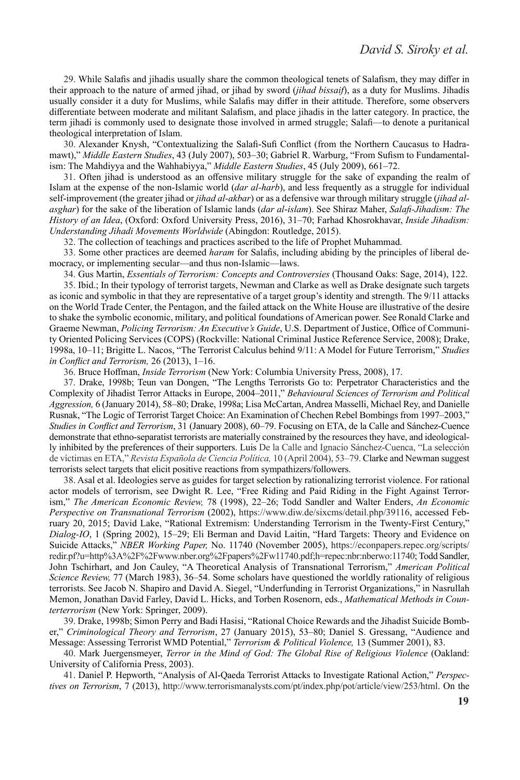29. While Salafis and jihadis usually share the common theological tenets of Salafism, they may differ in their approach to the nature of armed jihad, or jihad by sword (*jihad bissaif*), as a duty for Muslims. Jihadis usually consider it a duty for Muslims, while Salafis may differ in their attitude. Therefore, some observers differentiate between moderate and militant Salafism, and place jihadis in the latter category. In practice, the term jihadi is commonly used to designate those involved in armed struggle; Salafi—to denote a puritanical theological interpretation of Islam.

30. Alexander Knysh, "Contextualizing the Salafi-Sufi Conflict (from the Northern Caucasus to Hadramawt)," *Middle Eastern Studies*, 43 (July 2007), 503–30; Gabriel R. Warburg, "From Sufism to Fundamentalism: The Mahdiyya and the Wahhabiyya," *Middle Eastern Studies*, 45 (July 2009), 661–72.

31. Often jihad is understood as an offensive military struggle for the sake of expanding the realm of Islam at the expense of the non-Islamic world (*dar al-harb*), and less frequently as a struggle for individual self-improvement (the greater jihad or *jihad al-akbar*) or as a defensive war through military struggle (*jihad alasghar*) for the sake of the liberation of Islamic lands (*dar al*-*islam*). See Shiraz Maher, *Salafi-Jihadism: The History of an Idea*, (Oxford: Oxford University Press, 2016), 31–70; Farhad Khosrokhavar, *Inside Jihadism: Understanding Jihadi Movements Worldwide* (Abingdon: Routledge, 2015).

32. The collection of teachings and practices ascribed to the life of Prophet Muhammad.

33. Some other practices are deemed *haram* for Salafis, including abiding by the principles of liberal democracy, or implementing secular—and thus non-Islamic—laws.

34. Gus Martin, *Essentials of Terrorism: Concepts and Controversies* (Thousand Oaks: Sage, 2014), 122.

35. Ibid.; In their typology of terrorist targets, Newman and Clarke as well as Drake designate such targets as iconic and symbolic in that they are representative of a target group's identity and strength. The 9/11 attacks on the World Trade Center, the Pentagon, and the failed attack on the White House are illustrative of the desire to shake the symbolic economic, military, and political foundations of American power. See Ronald Clarke and Graeme Newman, *Policing Terrorism: An Executive's Guide*, U.S. Department of Justice, Office of Community Oriented Policing Services (COPS) (Rockville: National Criminal Justice Reference Service, 2008); Drake, 1998a, 10–11; Brigitte L. Nacos, "The Terrorist Calculus behind 9/11: A Model for Future Terrorism," *Studies in Conflict and Terrorism,* 26 (2013), 1–16.

36. Bruce Hoffman, *Inside Terrorism* (New York: Columbia University Press, 2008), 17.

37. Drake, 1998b; Teun van Dongen, "The Lengths Terrorists Go to: Perpetrator Characteristics and the Complexity of Jihadist Terror Attacks in Europe, 2004–2011," *Behavioural Sciences of Terrorism and Political Aggression,* 6 (January 2014), 58–80; Drake, 1998a; Lisa McCartan, Andrea Masselli, Michael Rey, and Danielle Rusnak, "The Logic of Terrorist Target Choice: An Examination of Chechen Rebel Bombings from 1997–2003," *Studies in Conflict and Terrorism*, 31 (January 2008), 60–79. Focusing on ETA, de la Calle and Sánchez-Cuence demonstrate that ethno-separatist terrorists are materially constrained by the resources they have, and ideologically inhibited by the preferences of their supporters. Luis De la Calle and Ignacio Sánchez-Cuenca, "La selección de víctimas en ETA," *Revista Española de Ciencia Política,* 10 (April 2004), 53–79. Clarke and Newman suggest terrorists select targets that elicit positive reactions from sympathizers/followers.

38. Asal et al. Ideologies serve as guides for target selection by rationalizing terrorist violence. For rational actor models of terrorism, see Dwight R. Lee, "Free Riding and Paid Riding in the Fight Against Terrorism," *The American Economic Review,* 78 (1998), 22–26; Todd Sandler and Walter Enders, *An Economic Perspective on Transnational Terrorism* (2002), https://www.diw.de/sixcms/detail.php/39116, accessed February 20, 2015; David Lake, "Rational Extremism: Understanding Terrorism in the Twenty-First Century," *Dialog-IO*, 1 (Spring 2002), 15–29; Eli Berman and David Laitin, "Hard Targets: Theory and Evidence on Suicide Attacks," *NBER Working Paper,* No. 11740 (November 2005), https://econpapers.repec.org/scripts/ redir.pf?u=http%3A%2F%2Fwww.nber.org%2Fpapers%2Fw11740.pdf;h=repec:nbr:nberwo:11740; Todd Sandler, John Tschirhart, and Jon Cauley, "A Theoretical Analysis of Transnational Terrorism," *American Political Science Review,* 77 (March 1983), 36–54. Some scholars have questioned the worldly rationality of religious terrorists. See Jacob N. Shapiro and David A. Siegel, "Underfunding in Terrorist Organizations," in Nasrullah Memon, Jonathan David Farley, David L. Hicks, and Torben Rosenorn, eds., *Mathematical Methods in Counterterrorism* (New York: Springer, 2009).

39. Drake, 1998b; Simon Perry and Badi Hasisi, "Rational Choice Rewards and the Jihadist Suicide Bomber," *Criminological Theory and Terrorism*, 27 (January 2015), 53–80; Daniel S. Gressang, "Audience and Message: Assessing Terrorist WMD Potential," *Terrorism & Political Violence,* 13 (Summer 2001), 83.

40. Mark Juergensmeyer, *Terror in the Mind of God: The Global Rise of Religious Violence* (Oakland: University of California Press, 2003).

41. Daniel P. Hepworth, "Analysis of Al-Qaeda Terrorist Attacks to Investigate Rational Action," *Perspectives on Terrorism*, 7 (2013), http://www.terrorismanalysts.com/pt/index.php/pot/article/view/253/html. On the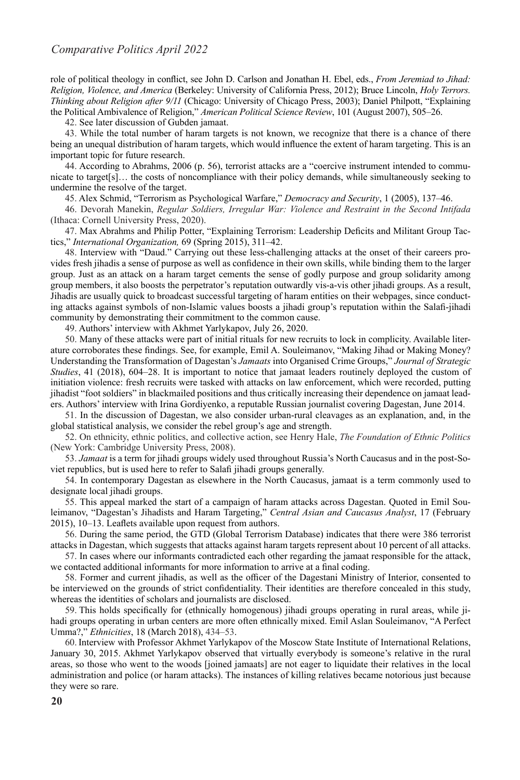role of political theology in conflict, see John D. Carlson and Jonathan H. Ebel, eds., *From Jeremiad to Jihad: Religion, Violence, and America* (Berkeley: University of California Press, 2012); Bruce Lincoln, *Holy Terrors. Thinking about Religion after 9/11* (Chicago: University of Chicago Press, 2003); Daniel Philpott, "Explaining the Political Ambivalence of Religion," *American Political Science Review*, 101 (August 2007), 505–26.

42. See later discussion of Gubden jamaat.

43. While the total number of haram targets is not known, we recognize that there is a chance of there being an unequal distribution of haram targets, which would influence the extent of haram targeting. This is an important topic for future research.

44. According to Abrahms, 2006 (p. 56), terrorist attacks are a "coercive instrument intended to communicate to target[s]… the costs of noncompliance with their policy demands, while simultaneously seeking to undermine the resolve of the target.

45. Alex Schmid, "Terrorism as Psychological Warfare," *Democracy and Security*, 1 (2005), 137–46.

46. Devorah Manekin, *Regular Soldiers, Irregular War: Violence and Restraint in the Second Intifada* (Ithaca: Cornell University Press, 2020).

47. Max Abrahms and Philip Potter, "Explaining Terrorism: Leadership Deficits and Militant Group Tactics," *International Organization,* 69 (Spring 2015), 311–42.

48. Interview with "Daud." Carrying out these less-challenging attacks at the onset of their careers provides fresh jihadis a sense of purpose as well as confidence in their own skills, while binding them to the larger group. Just as an attack on a haram target cements the sense of godly purpose and group solidarity among group members, it also boosts the perpetrator's reputation outwardly vis-a-vis other jihadi groups. As a result, Jihadis are usually quick to broadcast successful targeting of haram entities on their webpages, since conducting attacks against symbols of non-Islamic values boosts a jihadi group's reputation within the Salafi-jihadi community by demonstrating their commitment to the common cause.

49. Authors' interview with Akhmet Yarlykapov, July 26, 2020.

50. Many of these attacks were part of initial rituals for new recruits to lock in complicity. Available literature corroborates these findings. See, for example, Emil A. Souleimanov, "Making Jihad or Making Money? Understanding the Transformation of Dagestan's *Jamaats* into Organised Crime Groups," *Journal of Strategic Studies*, 41 (2018), 604–28. It is important to notice that jamaat leaders routinely deployed the custom of initiation violence: fresh recruits were tasked with attacks on law enforcement, which were recorded, putting jihadist "foot soldiers" in blackmailed positions and thus critically increasing their dependence on jamaat leaders. Authors' interview with Irina Gordiyenko, a reputable Russian journalist covering Dagestan, June 2014.

51. In the discussion of Dagestan, we also consider urban-rural cleavages as an explanation, and, in the global statistical analysis, we consider the rebel group's age and strength.

52. On ethnicity, ethnic politics, and collective action, see Henry Hale, *The Foundation of Ethnic Politics* (New York: Cambridge University Press, 2008).

53. *Jamaat* is a term for jihadi groups widely used throughout Russia's North Caucasus and in the post-Soviet republics, but is used here to refer to Salafi jihadi groups generally.

54. In contemporary Dagestan as elsewhere in the North Caucasus, jamaat is a term commonly used to designate local jihadi groups.

55. This appeal marked the start of a campaign of haram attacks across Dagestan. Quoted in Emil Souleimanov, "Dagestan's Jihadists and Haram Targeting," *Central Asian and Caucasus Analyst*, 17 (February 2015), 10–13. Leaflets available upon request from authors.

56. During the same period, the GTD (Global Terrorism Database) indicates that there were 386 terrorist attacks in Dagestan, which suggests that attacks against haram targets represent about 10 percent of all attacks.

57. In cases where our informants contradicted each other regarding the jamaat responsible for the attack, we contacted additional informants for more information to arrive at a final coding.

58. Former and current jihadis, as well as the officer of the Dagestani Ministry of Interior, consented to be interviewed on the grounds of strict confidentiality. Their identities are therefore concealed in this study, whereas the identities of scholars and journalists are disclosed.

59. This holds specifically for (ethnically homogenous) jihadi groups operating in rural areas, while jihadi groups operating in urban centers are more often ethnically mixed. Emil Aslan Souleimanov, "A Perfect Umma?," *Ethnicities*, 18 (March 2018), 434–53.

60.Interview with Professor Akhmet Yarlykapov of the Moscow State Institute of International Relations, January 30, 2015. Akhmet Yarlykapov observed that virtually everybody is someone's relative in the rural areas, so those who went to the woods [joined jamaats] are not eager to liquidate their relatives in the local administration and police (or haram attacks). The instances of killing relatives became notorious just because they were so rare.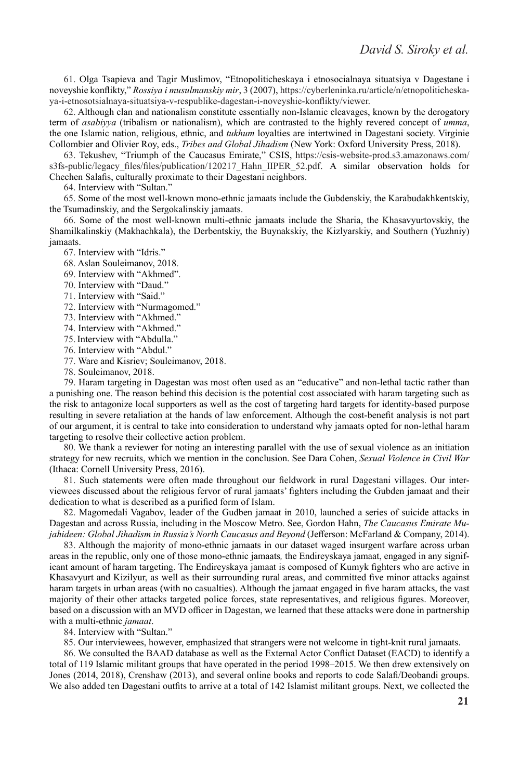61. Olga Tsapieva and Tagir Muslimov, "Etnopoliticheskaya i etnosocialnaya situatsiya v Dagestane i noveyshie konflikty," *Rossiya i musulmanskiy mir*, 3 (2007), https://cyberleninka.ru/article/n/etnopoliticheskaya-i-etnosotsialnaya-situatsiya-v-respublike-dagestan-i-noveyshie-konflikty/viewer.

62. Although clan and nationalism constitute essentially non-Islamic cleavages, known by the derogatory term of *asabiyya* (tribalism or nationalism), which are contrasted to the highly revered concept of *umma*, the one Islamic nation, religious, ethnic, and *tukhum* loyalties are intertwined in Dagestani society. Virginie Collombier and Olivier Roy, eds., *Tribes and Global Jihadism* (New York: Oxford University Press, 2018).

63. Tekushev, "Triumph of the Caucasus Emirate," CSIS, https://csis-website-prod.s3.amazonaws.com/ s3fs-public/legacy\_files/files/publication/120217\_Hahn\_IIPER\_52.pdf. A similar observation holds for Chechen Salafis, culturally proximate to their Dagestani neighbors.

64. Interview with "Sultan."

65. Some of the most well-known mono-ethnic jamaats include the Gubdenskiy, the Karabudakhkentskiy, the Tsumadinskiy, and the Sergokalinskiy jamaats.

66. Some of the most well-known multi-ethnic jamaats include the Sharia, the Khasavyurtovskiy, the Shamilkalinskiy (Makhachkala), the Derbentskiy, the Buynakskiy, the Kizlyarskiy, and Southern (Yuzhniy) jamaats.

67. Interview with "Idris."

- 68. Aslan Souleimanov, 2018.
- 69. Interview with "Akhmed".
- 70. Interview with "Daud."
- 71. Interview with "Said."
- 72. Interview with "Nurmagomed."
- 73. Interview with "Akhmed."
- 74. Interview with "Akhmed."
- 75.Interview with "Abdulla."
- 76. Interview with "Abdul."
- 77. Ware and Kisriev; Souleimanov, 2018.
- 78. Souleimanov, 2018.

79. Haram targeting in Dagestan was most often used as an "educative" and non-lethal tactic rather than a punishing one. The reason behind this decision is the potential cost associated with haram targeting such as the risk to antagonize local supporters as well as the cost of targeting hard targets for identity-based purpose resulting in severe retaliation at the hands of law enforcement. Although the cost-benefit analysis is not part of our argument, it is central to take into consideration to understand why jamaats opted for non-lethal haram targeting to resolve their collective action problem.

80. We thank a reviewer for noting an interesting parallel with the use of sexual violence as an initiation strategy for new recruits, which we mention in the conclusion. See Dara Cohen, *Sexual Violence in Civil War* (Ithaca: Cornell University Press, 2016).

81. Such statements were often made throughout our fieldwork in rural Dagestani villages. Our interviewees discussed about the religious fervor of rural jamaats' fighters including the Gubden jamaat and their dedication to what is described as a purified form of Islam.

82. Magomedali Vagabov, leader of the Gudben jamaat in 2010, launched a series of suicide attacks in Dagestan and across Russia, including in the Moscow Metro. See, Gordon Hahn, *The Caucasus Emirate Mujahideen: Global Jihadism in Russia's North Caucasus and Beyond* (Jefferson: McFarland & Company, 2014).

83. Although the majority of mono-ethnic jamaats in our dataset waged insurgent warfare across urban areas in the republic, only one of those mono-ethnic jamaats*,* the Endireyskaya jamaat, engaged in any significant amount of haram targeting. The Endireyskaya jamaat is composed of Kumyk fighters who are active in Khasavyurt and Kizilyur, as well as their surrounding rural areas, and committed five minor attacks against haram targets in urban areas (with no casualties). Although the jamaat engaged in five haram attacks, the vast majority of their other attacks targeted police forces, state representatives, and religious figures. Moreover, based on a discussion with an MVD officer in Dagestan, we learned that these attacks were done in partnership with a multi-ethnic *jamaat*.

84. Interview with "Sultan."

85. Our interviewees, however, emphasized that strangers were not welcome in tight-knit rural jamaats.

86. We consulted the BAAD database as well as the External Actor Conflict Dataset (EACD) to identify a total of 119 Islamic militant groups that have operated in the period 1998–2015. We then drew extensively on Jones (2014, 2018), Crenshaw (2013), and several online books and reports to code Salafi/Deobandi groups. We also added ten Dagestani outfits to arrive at a total of 142 Islamist militant groups. Next, we collected the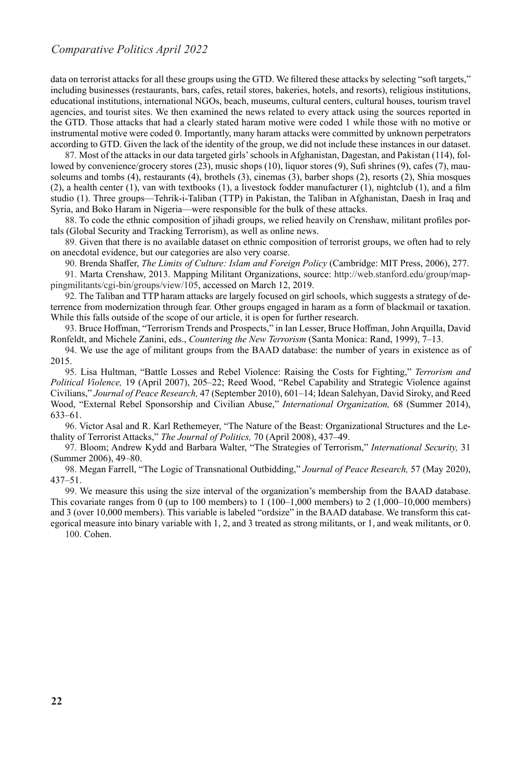data on terrorist attacks for all these groups using the GTD. We filtered these attacks by selecting "soft targets," including businesses (restaurants, bars, cafes, retail stores, bakeries, hotels, and resorts), religious institutions, educational institutions, international NGOs, beach, museums, cultural centers, cultural houses, tourism travel agencies, and tourist sites. We then examined the news related to every attack using the sources reported in the GTD. Those attacks that had a clearly stated haram motive were coded 1 while those with no motive or instrumental motive were coded 0. Importantly, many haram attacks were committed by unknown perpetrators according to GTD. Given the lack of the identity of the group, we did not include these instances in our dataset.

87. Most of the attacks in our data targeted girls' schools in Afghanistan, Dagestan, and Pakistan (114), followed by convenience/grocery stores (23), music shops (10), liquor stores (9), Sufi shrines (9), cafes (7), mausoleums and tombs (4), restaurants (4), brothels (3), cinemas (3), barber shops (2), resorts (2), Shia mosques (2), a health center (1), van with textbooks (1), a livestock fodder manufacturer (1), nightclub (1), and a film studio (1). Three groups—Tehrik-i-Taliban (TTP) in Pakistan, the Taliban in Afghanistan, Daesh in Iraq and Syria, and Boko Haram in Nigeria—were responsible for the bulk of these attacks.

88. To code the ethnic composition of jihadi groups, we relied heavily on Crenshaw, militant profiles portals (Global Security and Tracking Terrorism), as well as online news.

89. Given that there is no available dataset on ethnic composition of terrorist groups, we often had to rely on anecdotal evidence, but our categories are also very coarse.

90. Brenda Shaffer, *The Limits of Culture: Islam and Foreign Policy* (Cambridge: MIT Press, 2006), 277.

91. Marta Crenshaw, 2013. Mapping Militant Organizations, source: http://web.stanford.edu/group/mappingmilitants/cgi-bin/groups/view/105, accessed on March 12, 2019.

92. The Taliban and TTP haram attacks are largely focused on girl schools, which suggests a strategy of deterrence from modernization through fear. Other groups engaged in haram as a form of blackmail or taxation. While this falls outside of the scope of our article, it is open for further research.

93. Bruce Hoffman, "Terrorism Trends and Prospects," in Ian Lesser, Bruce Hoffman, John Arquilla, David Ronfeldt, and Michele Zanini, eds., *Countering the New Terrorism* (Santa Monica: Rand, 1999), 7–13.

94. We use the age of militant groups from the BAAD database: the number of years in existence as of 2015.

95. Lisa Hultman, "Battle Losses and Rebel Violence: Raising the Costs for Fighting," *Terrorism and Political Violence,* 19 (April 2007), 205–22; Reed Wood, "Rebel Capability and Strategic Violence against Civilians," *Journal of Peace Research,* 47 (September 2010), 601–14; Idean Salehyan, David Siroky, and Reed Wood, "External Rebel Sponsorship and Civilian Abuse," *International Organization,* 68 (Summer 2014), 633–61.

96. Victor Asal and R. Karl Rethemeyer, "The Nature of the Beast: Organizational Structures and the Lethality of Terrorist Attacks," *The Journal of Politics,* 70 (April 2008), 437–49.

97. Bloom; Andrew Kydd and Barbara Walter, "The Strategies of Terrorism," *International Security,* 31 (Summer 2006), 49–80.

98. Megan Farrell, "The Logic of Transnational Outbidding," *Journal of Peace Research,* 57 (May 2020), 437–51.

99. We measure this using the size interval of the organization's membership from the BAAD database. This covariate ranges from 0 (up to 100 members) to  $1(100-1,000$  members) to  $2(1,000-10,000$  members) and 3 (over 10,000 members). This variable is labeled "ordsize" in the BAAD database. We transform this categorical measure into binary variable with 1, 2, and 3 treated as strong militants, or 1, and weak militants, or 0.

100. Cohen.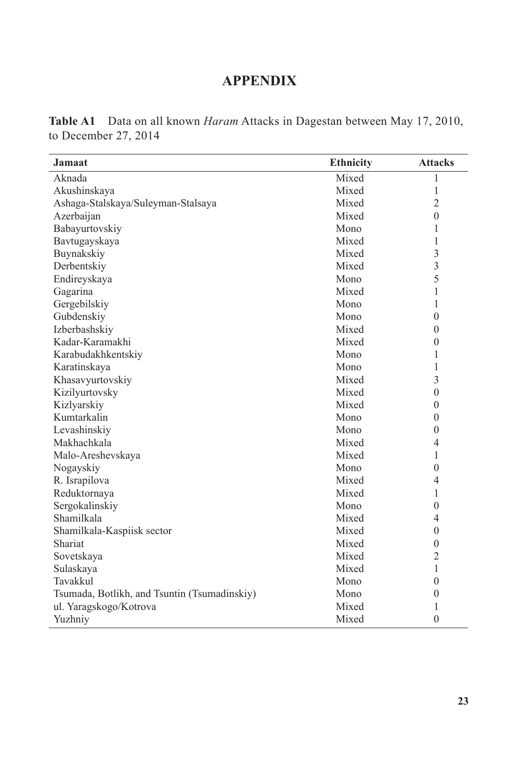## **APPENDIX**

| <b>Table A1</b> Data on all known <i>Haram</i> Attacks in Dagestan between May 17, 2010, |  |  |  |  |  |  |
|------------------------------------------------------------------------------------------|--|--|--|--|--|--|
| to December 27, 2014                                                                     |  |  |  |  |  |  |

| <b>Jamaat</b>                                | <b>Ethnicity</b> | <b>Attacks</b> |
|----------------------------------------------|------------------|----------------|
| Aknada                                       | Mixed            | 1              |
| Akushinskaya                                 | Mixed            | 1              |
| Ashaga-Stalskaya/Suleyman-Stalsaya           | Mixed            | $\overline{2}$ |
| Azerbaijan                                   | Mixed            | $\theta$       |
| Babayurtovskiy                               | Mono             | 1              |
| Bavtugayskaya                                | Mixed            | 1              |
| Buynakskiy                                   | Mixed            | 3              |
| Derbentskiy                                  | Mixed            | 3              |
| Endireyskaya                                 | Mono             | 5              |
| Gagarina                                     | Mixed            | 1              |
| Gergebilskiy                                 | Mono             | 1              |
| Gubdenskiy                                   | Mono             | $\mathbf{0}$   |
| Izberbashskiy                                | Mixed            | $\theta$       |
| Kadar-Karamakhi                              | Mixed            | $\theta$       |
| Karabudakhkentskiy                           | Mono             | 1              |
| Karatinskaya                                 | Mono             | 1              |
| Khasavyurtovskiy                             | Mixed            | 3              |
| Kizilyurtovsky                               | Mixed            | $\mathbf{0}$   |
| Kizlyarskiy                                  | Mixed            | $\mathbf{0}$   |
| Kumtarkalin                                  | Mono             | $\theta$       |
| Levashinskiy                                 | Mono             | $\mathbf{0}$   |
| Makhachkala                                  | Mixed            | $\overline{4}$ |
| Malo-Areshevskaya                            | Mixed            | $\mathbf{1}$   |
| Nogayskiy                                    | Mono             | $\theta$       |
| R. Israpilova                                | Mixed            | 4              |
| Reduktornaya                                 | Mixed            | 1              |
| Sergokalinskiy                               | Mono             | $\theta$       |
| Shamilkala                                   | Mixed            | 4              |
| Shamilkala-Kaspiisk sector                   | Mixed            | $\theta$       |
| Shariat                                      | Mixed            | $\theta$       |
| Sovetskaya                                   | Mixed            | $\overline{2}$ |
| Sulaskaya                                    | Mixed            | $\mathbf{1}$   |
| Tavakkul                                     | Mono             | $\theta$       |
| Tsumada, Botlikh, and Tsuntin (Tsumadinskiy) | Mono             | $\theta$       |
| ul. Yaragskogo/Kotrova                       | Mixed            | 1              |
| Yuzhniy                                      | Mixed            | $\theta$       |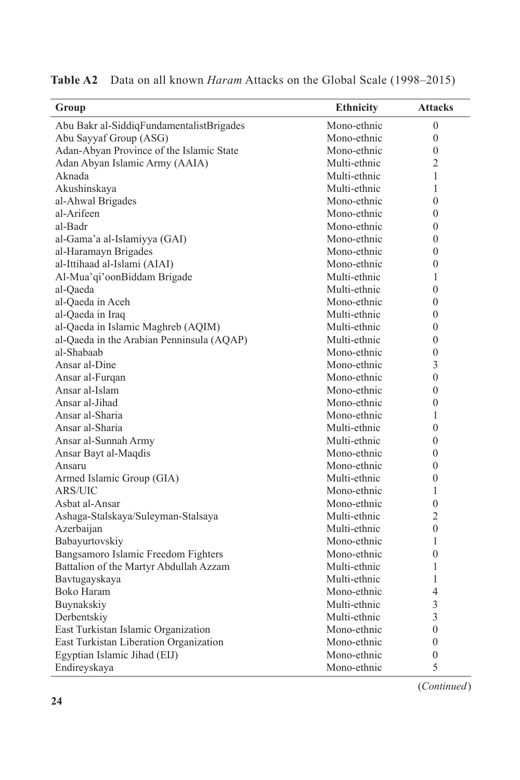| Group                                     | <b>Ethnicity</b> | <b>Attacks</b>   |
|-------------------------------------------|------------------|------------------|
| Abu Bakr al-SiddiqFundamentalistBrigades  | Mono-ethnic      | $\theta$         |
| Abu Sayyaf Group (ASG)                    | Mono-ethnic      | $\mathbf{0}$     |
| Adan-Abyan Province of the Islamic State  | Mono-ethnic      | $\mathbf{0}$     |
| Adan Abyan Islamic Army (AAIA)            | Multi-ethnic     | 2                |
| Aknada                                    | Multi-ethnic     | 1                |
| Akushinskaya                              | Multi-ethnic     | 1                |
| al-Ahwal Brigades                         | Mono-ethnic      | $\theta$         |
| al-Arifeen                                | Mono-ethnic      | $\theta$         |
| al-Badr                                   | Mono-ethnic      | $\boldsymbol{0}$ |
| al-Gama'a al-Islamiyya (GAI)              | Mono-ethnic      | $\theta$         |
| al-Haramayn Brigades                      | Mono-ethnic      | $\mathbf{0}$     |
| al-Ittihaad al-Islami (AIAI)              | Mono-ethnic      | $\theta$         |
| Al-Mua'qi'oonBiddam Brigade               | Multi-ethnic     | 1                |
| al-Oaeda                                  | Multi-ethnic     | $\theta$         |
| al-Qaeda in Aceh                          | Mono-ethnic      | $\theta$         |
| al-Qaeda in Iraq                          | Multi-ethnic     | $\overline{0}$   |
| al-Qaeda in Islamic Maghreb (AQIM)        | Multi-ethnic     | $\overline{0}$   |
| al-Qaeda in the Arabian Penninsula (AQAP) | Multi-ethnic     | $\theta$         |
| al-Shabaab                                | Mono-ethnic      | $\overline{0}$   |
| Ansar al-Dine                             | Mono-ethnic      | 3                |
| Ansar al-Furqan                           | Mono-ethnic      | $\overline{0}$   |
| Ansar al-Islam                            | Mono-ethnic      | $\overline{0}$   |
| Ansar al-Jihad                            | Mono-ethnic      | $\overline{0}$   |
| Ansar al-Sharia                           | Mono-ethnic      | 1                |
|                                           | Multi-ethnic     | $\theta$         |
| Ansar al-Sharia                           |                  |                  |
| Ansar al-Sunnah Army                      | Multi-ethnic     | $\theta$         |
| Ansar Bayt al-Maqdis                      | Mono-ethnic      | $\overline{0}$   |
| Ansaru                                    | Mono-ethnic      | $\theta$         |
| Armed Islamic Group (GIA)                 | Multi-ethnic     | $\overline{0}$   |
| ARS/UIC                                   | Mono-ethnic      | 1                |
| Asbat al-Ansar                            | Mono-ethnic      | $\overline{0}$   |
| Ashaga-Stalskaya/Suleyman-Stalsaya        | Multi-ethnic     | 2                |
| Azerbaijan                                | Multi-ethnic     | 0                |
| Babayurtovskiy                            | Mono-ethnic      | 1                |
| Bangsamoro Islamic Freedom Fighters       | Mono-ethnic      | $\overline{0}$   |
| Battalion of the Martyr Abdullah Azzam    | Multi-ethnic     | 1                |
| Bavtugayskaya                             | Multi-ethnic     | $\mathbf{1}$     |
| Boko Haram                                | Mono-ethnic      | 4                |
| Buynakskiy                                | Multi-ethnic     | 3                |
| Derbentskiy                               | Multi-ethnic     | 3                |
| East Turkistan Islamic Organization       | Mono-ethnic      | $\overline{0}$   |
| East Turkistan Liberation Organization    | Mono-ethnic      | $\overline{0}$   |
| Egyptian Islamic Jihad (EIJ)              | Mono-ethnic      | $\overline{0}$   |
| Endireyskaya                              | Mono-ethnic      | 5                |

**Table A2** Data on all known *Haram* Attacks on the Global Scale (1998–2015)

(*Continued*)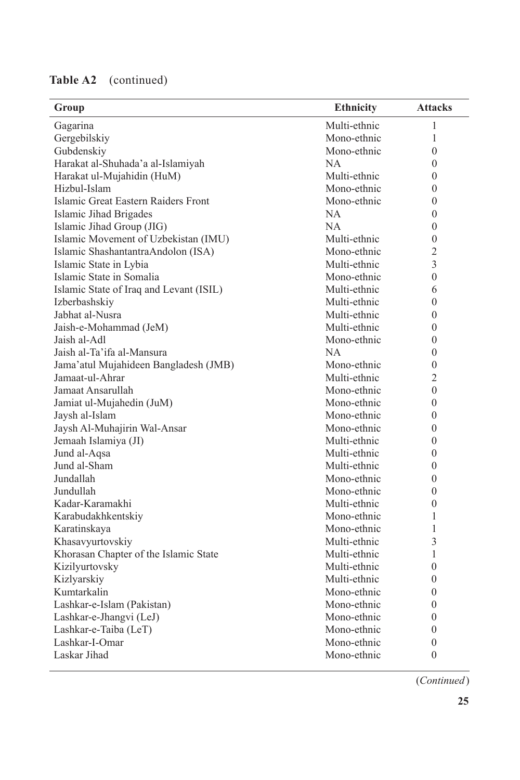| <b>Table A2</b> | (continued) |
|-----------------|-------------|
|-----------------|-------------|

| Group                                   | <b>Ethnicity</b> | <b>Attacks</b> |
|-----------------------------------------|------------------|----------------|
| Gagarina                                | Multi-ethnic     | 1              |
| Gergebilskiy                            | Mono-ethnic      | 1              |
| Gubdenskiy                              | Mono-ethnic      | $\mathbf{0}$   |
| Harakat al-Shuhada'a al-Islamiyah       | NA.              | $\theta$       |
| Harakat ul-Mujahidin (HuM)              | Multi-ethnic     | $\theta$       |
| Hizbul-Islam                            | Mono-ethnic      | $\mathbf{0}$   |
| Islamic Great Eastern Raiders Front     | Mono-ethnic      | $\theta$       |
| Islamic Jihad Brigades                  | NA               | $\mathbf{0}$   |
| Islamic Jihad Group (JIG)               | NA.              | $\theta$       |
| Islamic Movement of Uzbekistan (IMU)    | Multi-ethnic     | $\mathbf{0}$   |
| Islamic ShashantantraAndolon (ISA)      | Mono-ethnic      | $\overline{2}$ |
| Islamic State in Lybia                  | Multi-ethnic     | 3              |
| Islamic State in Somalia                | Mono-ethnic      | $\theta$       |
| Islamic State of Iraq and Levant (ISIL) | Multi-ethnic     | 6              |
| Izberbashskiy                           | Multi-ethnic     | $\theta$       |
| Jabhat al-Nusra                         | Multi-ethnic     | $\theta$       |
| Jaish-e-Mohammad (JeM)                  | Multi-ethnic     | $\theta$       |
| Jaish al-Adl                            | Mono-ethnic      | $\mathbf{0}$   |
| Jaish al-Ta'ifa al-Mansura              | NA.              | $\mathbf{0}$   |
| Jama'atul Mujahideen Bangladesh (JMB)   | Mono-ethnic      | $\mathbf{0}$   |
| Jamaat-ul-Ahrar                         | Multi-ethnic     | $\overline{2}$ |
| Jamaat Ansarullah                       | Mono-ethnic      | $\mathbf{0}$   |
| Jamiat ul-Mujahedin (JuM)               | Mono-ethnic      | $\mathbf{0}$   |
| Jaysh al-Islam                          | Mono-ethnic      | $\mathbf{0}$   |
| Jaysh Al-Muhajirin Wal-Ansar            | Mono-ethnic      | $\theta$       |
| Jemaah Islamiya (JI)                    | Multi-ethnic     | $\theta$       |
| Jund al-Aqsa                            | Multi-ethnic     | $\theta$       |
| Jund al-Sham                            | Multi-ethnic     | $\theta$       |
| Jundallah                               | Mono-ethnic      | $\mathbf{0}$   |
| Jundullah                               | Mono-ethnic      | $\overline{0}$ |
| Kadar-Karamakhi                         | Multi-ethnic     | $\overline{0}$ |
| Karabudakhkentskiy                      | Mono-ethnic      | 1              |
| Karatinskaya                            | Mono-ethnic      | 1              |
| Khasavyurtovskiy                        | Multi-ethnic     | 3              |
| Khorasan Chapter of the Islamic State   | Multi-ethnic     | 1              |
| Kizilyurtovsky                          | Multi-ethnic     | $\theta$       |
| Kizlyarskiy                             | Multi-ethnic     | $\overline{0}$ |
| Kumtarkalin                             | Mono-ethnic      | $\theta$       |
| Lashkar-e-Islam (Pakistan)              | Mono-ethnic      | 0              |
| Lashkar-e-Jhangvi (LeJ)                 | Mono-ethnic      | $\overline{0}$ |
| Lashkar-e-Taiba (LeT)                   | Mono-ethnic      | $\overline{0}$ |
| Lashkar-I-Omar                          | Mono-ethnic      | $\overline{0}$ |
| Laskar Jihad                            | Mono-ethnic      | $\overline{0}$ |

(*Continued*)